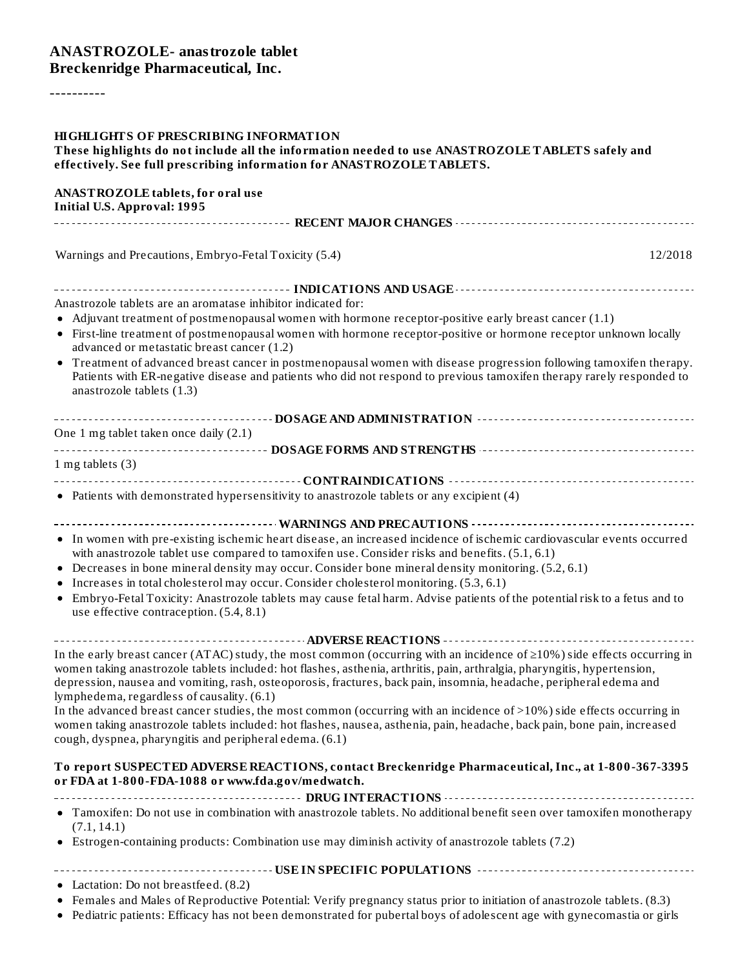#### **ANASTROZOLE- anastrozole tablet Breckenridge Pharmaceutical, Inc.**

----------

| <b>HIGHLIGHTS OF PRESCRIBING INFORMATION</b><br>These highlights do not include all the information needed to use ANASTROZOLETABLETS safely and<br>effectively. See full prescribing information for ANASTROZOLE TABLETS.                                                                                                                                                                                                                                                                                                                                                                                                                                                                                                                          |         |
|----------------------------------------------------------------------------------------------------------------------------------------------------------------------------------------------------------------------------------------------------------------------------------------------------------------------------------------------------------------------------------------------------------------------------------------------------------------------------------------------------------------------------------------------------------------------------------------------------------------------------------------------------------------------------------------------------------------------------------------------------|---------|
| <b>ANASTROZOLE tablets, for oral use</b><br><b>Initial U.S. Approval: 1995</b>                                                                                                                                                                                                                                                                                                                                                                                                                                                                                                                                                                                                                                                                     |         |
|                                                                                                                                                                                                                                                                                                                                                                                                                                                                                                                                                                                                                                                                                                                                                    |         |
| Warnings and Precautions, Embryo-Fetal Toxicity (5.4)                                                                                                                                                                                                                                                                                                                                                                                                                                                                                                                                                                                                                                                                                              | 12/2018 |
| Anastrozole tablets are an aromatase inhibitor indicated for:<br>• Adjuvant treatment of postmenopausal women with hormone receptor-positive early breast cancer (1.1)                                                                                                                                                                                                                                                                                                                                                                                                                                                                                                                                                                             |         |
| • First-line treatment of postmenopausal women with hormone receptor-positive or hormone receptor unknown locally<br>advanced or metastatic breast cancer (1.2)<br>Treatment of advanced breast cancer in postmenopausal women with disease progression following tamoxifen therapy.<br>Patients with ER-negative disease and patients who did not respond to previous tamoxifen therapy rarely responded to<br>anastrozole tablets (1.3)                                                                                                                                                                                                                                                                                                          |         |
| One 1 mg tablet taken once daily (2.1)                                                                                                                                                                                                                                                                                                                                                                                                                                                                                                                                                                                                                                                                                                             |         |
| 1 mg tablets (3)                                                                                                                                                                                                                                                                                                                                                                                                                                                                                                                                                                                                                                                                                                                                   |         |
| • Patients with demonstrated hypersensitivity to anastrozole tablets or any excipient (4)                                                                                                                                                                                                                                                                                                                                                                                                                                                                                                                                                                                                                                                          |         |
| • In women with pre-existing ischemic heart disease, an increased incidence of ischemic cardiovascular events occurred<br>with anastrozole tablet use compared to tamoxifen use. Consider risks and benefits. (5.1, 6.1)<br>• Decreases in bone mineral density may occur. Consider bone mineral density monitoring. (5.2, 6.1)<br>Increases in total cholesterol may occur. Consider cholesterol monitoring. (5.3, 6.1)<br>Embryo-Fetal Toxicity: Anastrozole tablets may cause fetal harm. Advise patients of the potential risk to a fetus and to<br>use effective contraception. (5.4, 8.1)                                                                                                                                                    |         |
| In the early breast cancer (ATAC) study, the most common (occurring with an incidence of $\geq$ 10%) side effects occurring in<br>women taking anastrozole tablets included: hot flashes, asthenia, arthritis, pain, arthralgia, pharyngitis, hypertension,<br>depression, nausea and vomiting, rash, osteoporosis, fractures, back pain, insomnia, headache, peripheral edema and<br>lymphedema, regardless of causality. (6.1)<br>In the advanced breast cancer studies, the most common (occurring with an incidence of >10%) side effects occurring in<br>women taking anastrozole tablets included: hot flashes, nausea, asthenia, pain, headache, back pain, bone pain, increased<br>cough, dyspnea, pharyngitis and peripheral edema. (6.1) |         |
| To report SUSPECTED ADVERSE REACTIONS, contact Breckenridge Pharmaceutical, Inc., at 1-800-367-3395<br>or FDA at 1-800-FDA-1088 or www.fda.gov/medwatch.                                                                                                                                                                                                                                                                                                                                                                                                                                                                                                                                                                                           |         |
| • Tamoxifen: Do not use in combination with anastrozole tablets. No additional benefit seen over tamoxifen monotherapy<br>(7.1, 14.1)                                                                                                                                                                                                                                                                                                                                                                                                                                                                                                                                                                                                              |         |
| • Estrogen-containing products: Combination use may diminish activity of anastrozole tablets (7.2)                                                                                                                                                                                                                                                                                                                                                                                                                                                                                                                                                                                                                                                 |         |
| • Lactation: Do not breastfeed. (8.2)<br>• Females and Males of Reproductive Potential: Verify pregnancy status prior to initiation of anastrozole tablets. (8.3)                                                                                                                                                                                                                                                                                                                                                                                                                                                                                                                                                                                  |         |

Pediatric patients: Efficacy has not been demonstrated for pubertal boys of adolescent age with gynecomastia or girls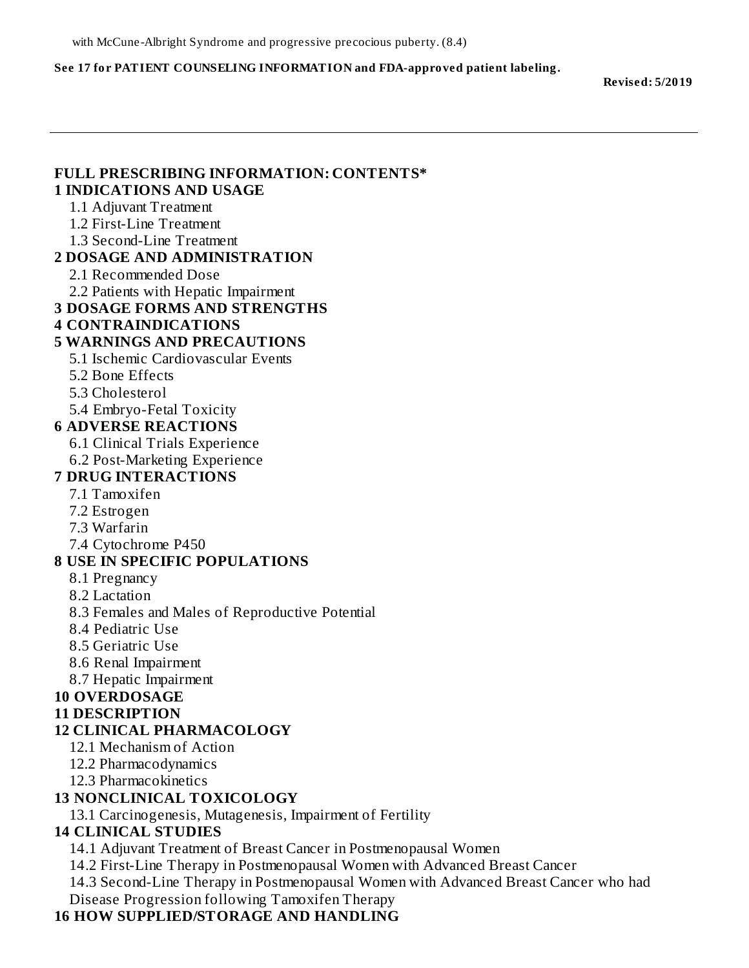#### **See 17 for PATIENT COUNSELING INFORMATION and FDA-approved patient labeling.**

**Revised: 5/2019**

#### **FULL PRESCRIBING INFORMATION: CONTENTS\* 1 INDICATIONS AND USAGE** 1.1 Adjuvant Treatment 1.2 First-Line Treatment 1.3 Second-Line Treatment **2 DOSAGE AND ADMINISTRATION** 2.1 Recommended Dose 2.2 Patients with Hepatic Impairment **3 DOSAGE FORMS AND STRENGTHS 4 CONTRAINDICATIONS 5 WARNINGS AND PRECAUTIONS** 5.1 Ischemic Cardiovascular Events 5.2 Bone Effects 5.3 Cholesterol 5.4 Embryo-Fetal Toxicity **6 ADVERSE REACTIONS** 6.1 Clinical Trials Experience 6.2 Post-Marketing Experience **7 DRUG INTERACTIONS** 7.1 Tamoxifen 7.2 Estrogen 7.3 Warfarin 7.4 Cytochrome P450 **8 USE IN SPECIFIC POPULATIONS** 8.1 Pregnancy 8.2 Lactation 8.3 Females and Males of Reproductive Potential 8.4 Pediatric Use 8.5 Geriatric Use 8.6 Renal Impairment 8.7 Hepatic Impairment **10 OVERDOSAGE 11 DESCRIPTION 12 CLINICAL PHARMACOLOGY** 12.1 Mechanism of Action 12.2 Pharmacodynamics 12.3 Pharmacokinetics **13 NONCLINICAL TOXICOLOGY** 13.1 Carcinogenesis, Mutagenesis, Impairment of Fertility **14 CLINICAL STUDIES**

14.1 Adjuvant Treatment of Breast Cancer in Postmenopausal Women

14.2 First-Line Therapy in Postmenopausal Women with Advanced Breast Cancer

14.3 Second-Line Therapy in Postmenopausal Women with Advanced Breast Cancer who had Disease Progression following Tamoxifen Therapy

#### **16 HOW SUPPLIED/STORAGE AND HANDLING**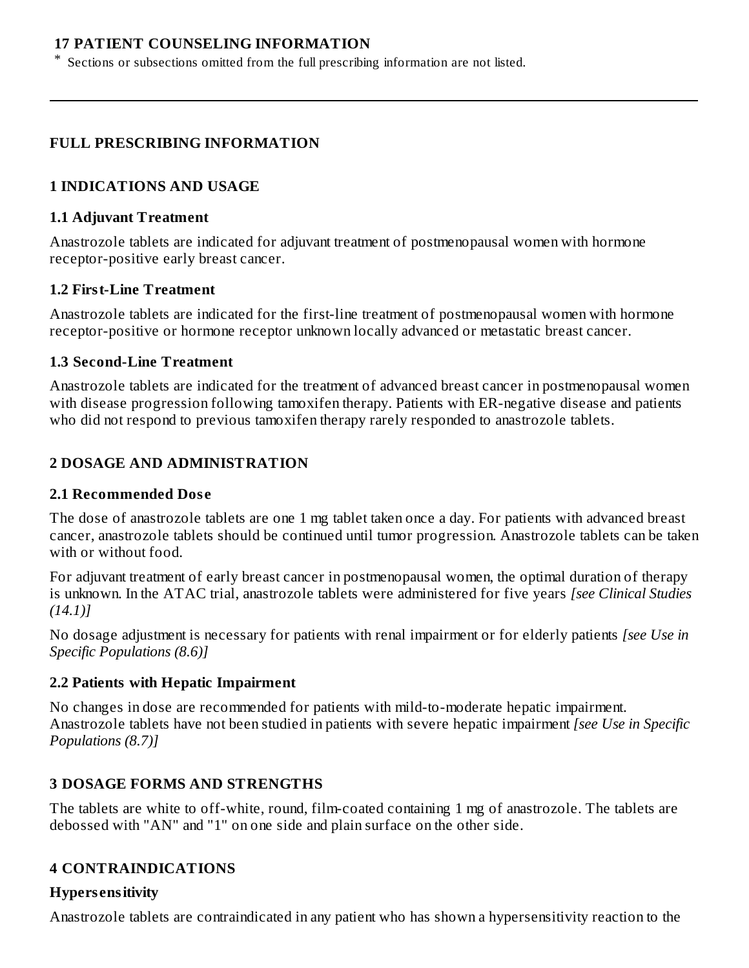#### **17 PATIENT COUNSELING INFORMATION**

Sections or subsections omitted from the full prescribing information are not listed.

#### **FULL PRESCRIBING INFORMATION**

#### **1 INDICATIONS AND USAGE**

#### **1.1 Adjuvant Treatment**

\*

Anastrozole tablets are indicated for adjuvant treatment of postmenopausal women with hormone receptor-positive early breast cancer.

#### **1.2 First-Line Treatment**

Anastrozole tablets are indicated for the first-line treatment of postmenopausal women with hormone receptor-positive or hormone receptor unknown locally advanced or metastatic breast cancer.

#### **1.3 Second-Line Treatment**

Anastrozole tablets are indicated for the treatment of advanced breast cancer in postmenopausal women with disease progression following tamoxifen therapy. Patients with ER-negative disease and patients who did not respond to previous tamoxifen therapy rarely responded to anastrozole tablets.

#### **2 DOSAGE AND ADMINISTRATION**

#### **2.1 Recommended Dos e**

The dose of anastrozole tablets are one 1 mg tablet taken once a day. For patients with advanced breast cancer, anastrozole tablets should be continued until tumor progression. Anastrozole tablets can be taken with or without food.

For adjuvant treatment of early breast cancer in postmenopausal women, the optimal duration of therapy is unknown. In the ATAC trial, anastrozole tablets were administered for five years *[see Clinical Studies (14.1)]*

No dosage adjustment is necessary for patients with renal impairment or for elderly patients *[see Use in Specific Populations (8.6)]*

#### **2.2 Patients with Hepatic Impairment**

No changes in dose are recommended for patients with mild-to-moderate hepatic impairment. Anastrozole tablets have not been studied in patients with severe hepatic impairment *[see Use in Specific Populations (8.7)]*

#### **3 DOSAGE FORMS AND STRENGTHS**

The tablets are white to off-white, round, film-coated containing 1 mg of anastrozole. The tablets are debossed with "AN" and "1" on one side and plain surface on the other side.

#### **4 CONTRAINDICATIONS**

## **Hypers ensitivity**

Anastrozole tablets are contraindicated in any patient who has shown a hypersensitivity reaction to the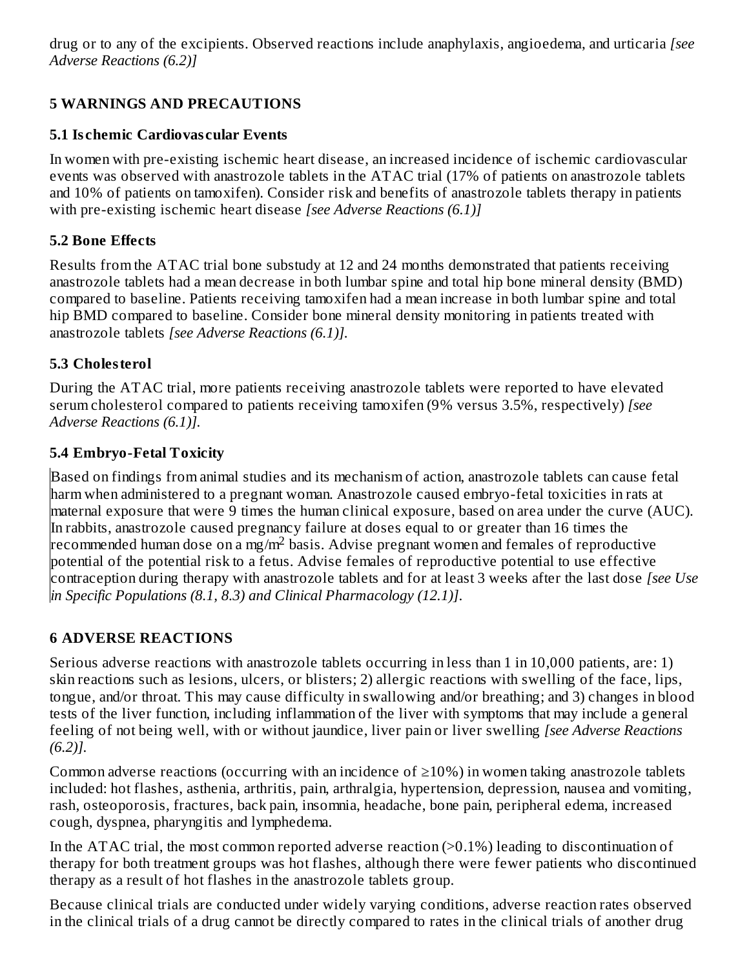drug or to any of the excipients. Observed reactions include anaphylaxis, angioedema, and urticaria *[see Adverse Reactions (6.2)]*

# **5 WARNINGS AND PRECAUTIONS**

#### **5.1 Is chemic Cardiovas cular Events**

In women with pre-existing ischemic heart disease, an increased incidence of ischemic cardiovascular events was observed with anastrozole tablets in the ATAC trial (17% of patients on anastrozole tablets and 10% of patients on tamoxifen). Consider risk and benefits of anastrozole tablets therapy in patients with pre-existing ischemic heart disease *[see Adverse Reactions (6.1)]*

#### **5.2 Bone Effects**

Results from the ATAC trial bone substudy at 12 and 24 months demonstrated that patients receiving anastrozole tablets had a mean decrease in both lumbar spine and total hip bone mineral density (BMD) compared to baseline. Patients receiving tamoxifen had a mean increase in both lumbar spine and total hip BMD compared to baseline. Consider bone mineral density monitoring in patients treated with anastrozole tablets *[see Adverse Reactions (6.1)].*

## **5.3 Cholesterol**

During the ATAC trial, more patients receiving anastrozole tablets were reported to have elevated serum cholesterol compared to patients receiving tamoxifen (9% versus 3.5%, respectively) *[see Adverse Reactions (6.1)].*

#### **5.4 Embryo-Fetal Toxicity**

Based on findings from animal studies and its mechanism of action, anastrozole tablets can cause fetal harm when administered to a pregnant woman. Anastrozole caused embryo-fetal toxicities in rats at maternal exposure that were 9 times the human clinical exposure, based on area under the curve (AUC). In rabbits, anastrozole caused pregnancy failure at doses equal to or greater than 16 times the recommended human dose on a mg/m<sup>2</sup> basis. Advise pregnant women and females of reproductive potential of the potential risk to a fetus. Advise females of reproductive potential to use effective contraception during therapy with anastrozole tablets and for at least 3 weeks after the last dose *[see Use in Specific Populations (8.1, 8.3) and Clinical Pharmacology (12.1)]*.

## **6 ADVERSE REACTIONS**

Serious adverse reactions with anastrozole tablets occurring in less than 1 in 10,000 patients, are: 1) skin reactions such as lesions, ulcers, or blisters; 2) allergic reactions with swelling of the face, lips, tongue, and/or throat. This may cause difficulty in swallowing and/or breathing; and 3) changes in blood tests of the liver function, including inflammation of the liver with symptoms that may include a general feeling of not being well, with or without jaundice, liver pain or liver swelling *[see Adverse Reactions (6.2)].*

Common adverse reactions (occurring with an incidence of  $\geq$ 10%) in women taking anastrozole tablets included: hot flashes, asthenia, arthritis, pain, arthralgia, hypertension, depression, nausea and vomiting, rash, osteoporosis, fractures, back pain, insomnia, headache, bone pain, peripheral edema, increased cough, dyspnea, pharyngitis and lymphedema.

In the ATAC trial, the most common reported adverse reaction (>0.1%) leading to discontinuation of therapy for both treatment groups was hot flashes, although there were fewer patients who discontinued therapy as a result of hot flashes in the anastrozole tablets group.

Because clinical trials are conducted under widely varying conditions, adverse reaction rates observed in the clinical trials of a drug cannot be directly compared to rates in the clinical trials of another drug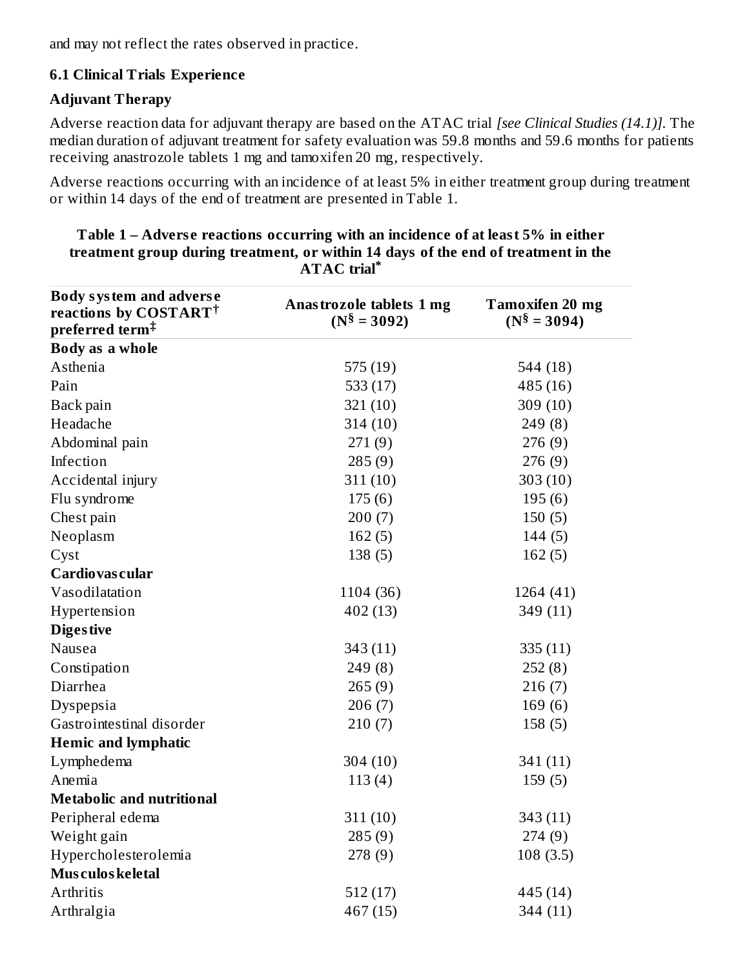and may not reflect the rates observed in practice.

## **6.1 Clinical Trials Experience**

#### **Adjuvant Therapy**

Adverse reaction data for adjuvant therapy are based on the ATAC trial *[see Clinical Studies (14.1)].* The median duration of adjuvant treatment for safety evaluation was 59.8 months and 59.6 months for patients receiving anastrozole tablets 1 mg and tamoxifen 20 mg, respectively.

Adverse reactions occurring with an incidence of at least 5% in either treatment group during treatment or within 14 days of the end of treatment are presented in Table 1.

| <b>Body system and adverse</b><br>reactions by COSTART <sup>†</sup><br>preferred term <sup>‡</sup> | Anastrozole tablets 1 mg<br>$(N^{\$} = 3092)$ | <b>Tamoxifen 20 mg</b><br>$(N^{\$} = 3094)$ |
|----------------------------------------------------------------------------------------------------|-----------------------------------------------|---------------------------------------------|
| Body as a whole                                                                                    |                                               |                                             |
| Asthenia                                                                                           | 575 (19)                                      | 544 (18)                                    |
| Pain                                                                                               | 533 $(17)$                                    | 485 (16)                                    |
| Back pain                                                                                          | 321(10)                                       | 309 (10)                                    |
| Headache                                                                                           | 314(10)                                       | 249(8)                                      |
| Abdominal pain                                                                                     | 271(9)                                        | 276(9)                                      |
| Infection                                                                                          | 285(9)                                        | 276 (9)                                     |
| Accidental injury                                                                                  | 311(10)                                       | 303(10)                                     |
| Flu syndrome                                                                                       | 175(6)                                        | 195(6)                                      |
| Chest pain                                                                                         | 200(7)                                        | 150(5)                                      |
| Neoplasm                                                                                           | 162(5)                                        | 144(5)                                      |
| Cyst                                                                                               | 138(5)                                        | 162(5)                                      |
| Cardiovas cular                                                                                    |                                               |                                             |
| Vasodilatation                                                                                     | 1104 (36)                                     | 1264 (41)                                   |
| Hypertension                                                                                       | 402 (13)                                      | 349 (11)                                    |
| <b>Digestive</b>                                                                                   |                                               |                                             |
| Nausea                                                                                             | 343(11)                                       | 335(11)                                     |
| Constipation                                                                                       | 249(8)                                        | 252(8)                                      |
| Diarrhea                                                                                           | 265(9)                                        | 216(7)                                      |
| Dyspepsia                                                                                          | 206(7)                                        | 169(6)                                      |
| Gastrointestinal disorder                                                                          | 210(7)                                        | 158(5)                                      |
| <b>Hemic and lymphatic</b>                                                                         |                                               |                                             |
| Lymphedema                                                                                         | 304 (10)                                      | 341 (11)                                    |
| Anemia                                                                                             | 113(4)                                        | 159(5)                                      |
| <b>Metabolic and nutritional</b>                                                                   |                                               |                                             |
| Peripheral edema                                                                                   | 311(10)                                       | 343 (11)                                    |
| Weight gain                                                                                        | 285(9)                                        | 274(9)                                      |
| Hypercholesterolemia                                                                               | 278 (9)                                       | 108(3.5)                                    |
| Mus culos keletal                                                                                  |                                               |                                             |
| Arthritis                                                                                          | 512(17)                                       | 445 (14)                                    |
| Arthralgia                                                                                         | 467 (15)                                      | 344 (11)                                    |

**Table 1 – Advers e reactions occurring with an incidence of at least 5% in either treatment group during treatment, or within 14 days of the end of treatment in the ATAC trial \***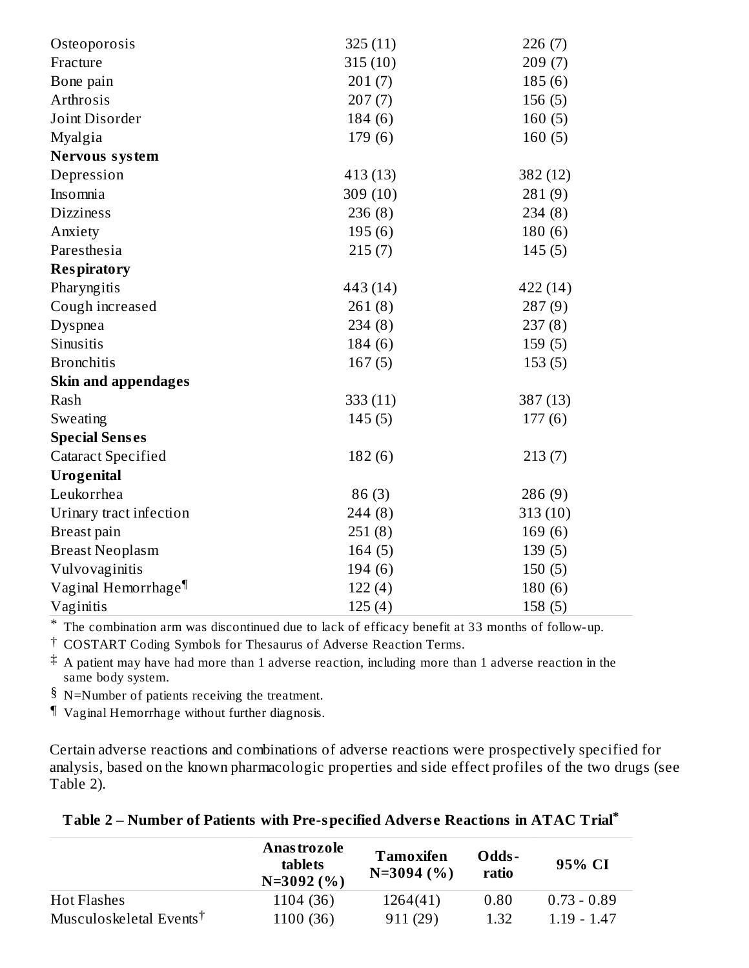| Osteoporosis                    | 325(11)    | 226(7)   |
|---------------------------------|------------|----------|
| Fracture                        | 315(10)    | 209(7)   |
| Bone pain                       | 201(7)     | 185(6)   |
| Arthrosis                       | 207(7)     | 156(5)   |
| Joint Disorder                  | 184(6)     | 160(5)   |
| Myalgia                         | 179(6)     | 160(5)   |
| Nervous system                  |            |          |
| Depression                      | 413 (13)   | 382 (12) |
| Insomnia                        | 309 $(10)$ | 281(9)   |
| <b>Dizziness</b>                | 236(8)     | 234(8)   |
| Anxiety                         | 195(6)     | 180(6)   |
| Paresthesia                     | 215(7)     | 145(5)   |
| <b>Respiratory</b>              |            |          |
| Pharyngitis                     | 443 (14)   | 422 (14) |
| Cough increased                 | 261(8)     | 287(9)   |
| Dyspnea                         | 234(8)     | 237(8)   |
| Sinusitis                       | 184(6)     | 159(5)   |
| <b>Bronchitis</b>               | 167(5)     | 153(5)   |
| <b>Skin and appendages</b>      |            |          |
| Rash                            | 333 (11)   | 387 (13) |
| Sweating                        | 145(5)     | 177(6)   |
| <b>Special Senses</b>           |            |          |
| <b>Cataract Specified</b>       | 182(6)     | 213(7)   |
| <b>Urogenital</b>               |            |          |
| Leukorrhea                      | 86(3)      | 286 (9)  |
| Urinary tract infection         | 244(8)     | 313(10)  |
| Breast pain                     | 251(8)     | 169(6)   |
| <b>Breast Neoplasm</b>          | 164(5)     | 139(5)   |
| Vulvovaginitis                  | 194(6)     | 150(5)   |
| Vaginal Hemorrhage <sup>¶</sup> | 122(4)     | 180(6)   |
| Vaginitis                       | 125(4)     | 158(5)   |

\* The combination arm was discontinued due to lack of efficacy benefit at 33 months of follow-up.

† COSTART Coding Symbols for Thesaurus of Adverse Reaction Terms.

 $\ddagger$  A patient may have had more than 1 adverse reaction, including more than 1 adverse reaction in the same body system.

§ N=Number of patients receiving the treatment.

¶ Vaginal Hemorrhage without further diagnosis.

Certain adverse reactions and combinations of adverse reactions were prospectively specified for analysis, based on the known pharmacologic properties and side effect profiles of the two drugs (see Table 2).

|                                                         | Anas trozole<br>tablets<br>$N=3092(%)$ | Tamoxifen<br>$N=3094(%)$ | Odds-<br>ratio | 95% CI        |
|---------------------------------------------------------|----------------------------------------|--------------------------|----------------|---------------|
| <b>Hot Flashes</b>                                      | 1104 (36)                              | 1264(41)                 | 0.80           | $0.73 - 0.89$ |
| Musculoskeletal Events <sup><math>\uparrow</math></sup> | 1100 (36)                              | 911(29)                  | 1.32           | $1.19 - 1.47$ |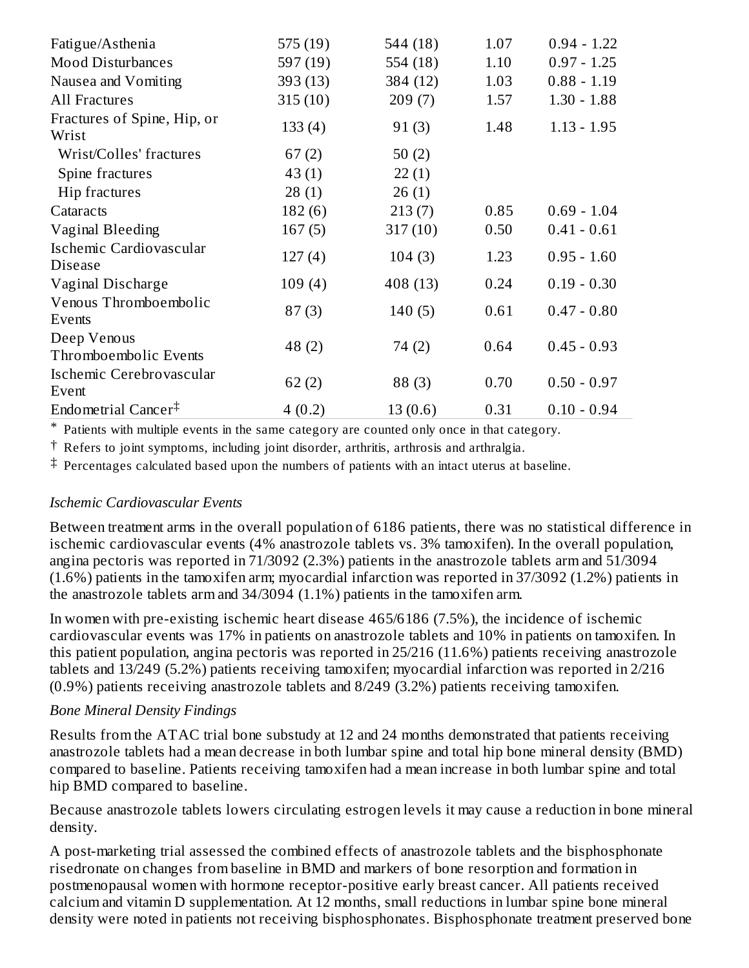| Fatigue/Asthenia                                 | 575 (19) | 544 (18) | 1.07 | $0.94 - 1.22$ |
|--------------------------------------------------|----------|----------|------|---------------|
| <b>Mood Disturbances</b>                         | 597(19)  | 554 (18) | 1.10 | $0.97 - 1.25$ |
| Nausea and Vomiting                              | 393 (13) | 384 (12) | 1.03 | $0.88 - 1.19$ |
| All Fractures                                    | 315(10)  | 209(7)   | 1.57 | $1.30 - 1.88$ |
| Fractures of Spine, Hip, or<br>Wrist             | 133(4)   | 91(3)    | 1.48 | $1.13 - 1.95$ |
| Wrist/Colles' fractures                          | 67(2)    | 50 $(2)$ |      |               |
| Spine fractures                                  | 43(1)    | 22(1)    |      |               |
| Hip fractures                                    | 28(1)    | 26(1)    |      |               |
| Cataracts                                        | 182(6)   | 213(7)   | 0.85 | $0.69 - 1.04$ |
| Vaginal Bleeding                                 | 167(5)   | 317(10)  | 0.50 | $0.41 - 0.61$ |
| Ischemic Cardiovascular<br><b>Disease</b>        | 127(4)   | 104(3)   | 1.23 | $0.95 - 1.60$ |
| Vaginal Discharge                                | 109(4)   | 408 (13) | 0.24 | $0.19 - 0.30$ |
| Venous Thromboembolic<br>Events                  | 87(3)    | 140(5)   | 0.61 | $0.47 - 0.80$ |
| Deep Venous<br>Thromboembolic Events             | 48 (2)   | 74 (2)   | 0.64 | $0.45 - 0.93$ |
| Ischemic Cerebrovascular<br>Event                | 62(2)    | 88(3)    | 0.70 | $0.50 - 0.97$ |
| Endometrial Cancer <sup><math>\ddag</math></sup> | 4(0.2)   | 13(0.6)  | 0.31 | $0.10 - 0.94$ |

\* Patients with multiple events in the same category are counted only once in that category.

† Refers to joint symptoms, including joint disorder, arthritis, arthrosis and arthralgia.

‡ Percentages calculated based upon the numbers of patients with an intact uterus at baseline.

#### *Ischemic Cardiovascular Events*

Between treatment arms in the overall population of 6186 patients, there was no statistical difference in ischemic cardiovascular events (4% anastrozole tablets vs. 3% tamoxifen). In the overall population, angina pectoris was reported in 71/3092 (2.3%) patients in the anastrozole tablets arm and 51/3094 (1.6%) patients in the tamoxifen arm; myocardial infarction was reported in 37/3092 (1.2%) patients in the anastrozole tablets arm and 34/3094 (1.1%) patients in the tamoxifen arm.

In women with pre-existing ischemic heart disease 465/6186 (7.5%), the incidence of ischemic cardiovascular events was 17% in patients on anastrozole tablets and 10% in patients on tamoxifen. In this patient population, angina pectoris was reported in 25/216 (11.6%) patients receiving anastrozole tablets and 13/249 (5.2%) patients receiving tamoxifen; myocardial infarction was reported in 2/216 (0.9%) patients receiving anastrozole tablets and 8/249 (3.2%) patients receiving tamoxifen.

#### *Bone Mineral Density Findings*

Results from the ATAC trial bone substudy at 12 and 24 months demonstrated that patients receiving anastrozole tablets had a mean decrease in both lumbar spine and total hip bone mineral density (BMD) compared to baseline. Patients receiving tamoxifen had a mean increase in both lumbar spine and total hip BMD compared to baseline.

Because anastrozole tablets lowers circulating estrogen levels it may cause a reduction in bone mineral density.

A post-marketing trial assessed the combined effects of anastrozole tablets and the bisphosphonate risedronate on changes from baseline in BMD and markers of bone resorption and formation in postmenopausal women with hormone receptor-positive early breast cancer. All patients received calcium and vitamin D supplementation. At 12 months, small reductions in lumbar spine bone mineral density were noted in patients not receiving bisphosphonates. Bisphosphonate treatment preserved bone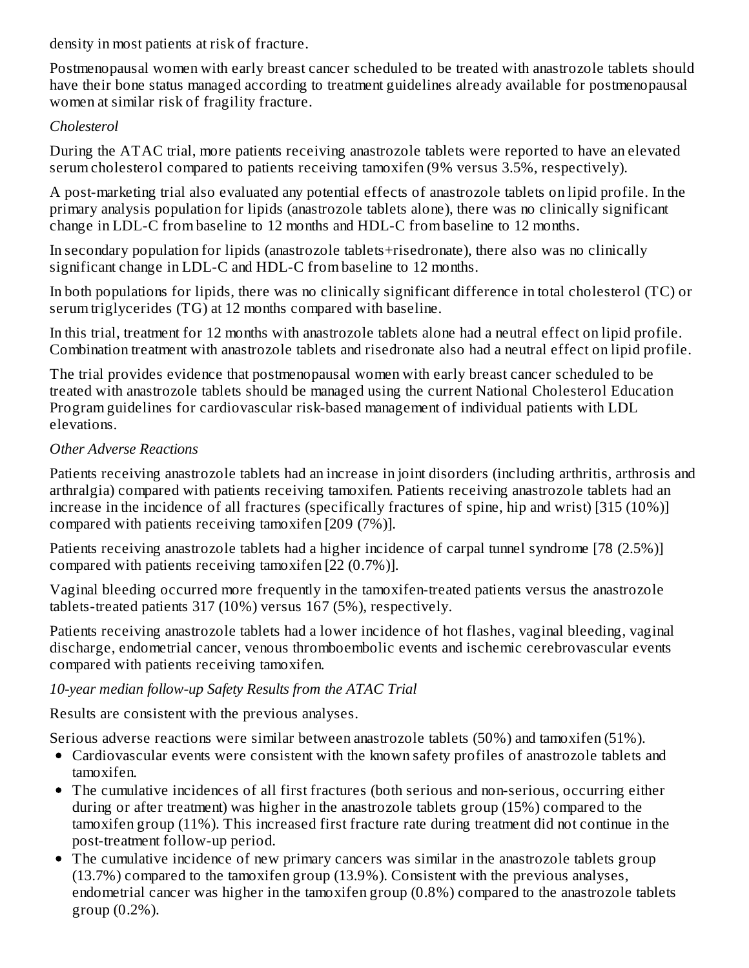density in most patients at risk of fracture.

Postmenopausal women with early breast cancer scheduled to be treated with anastrozole tablets should have their bone status managed according to treatment guidelines already available for postmenopausal women at similar risk of fragility fracture.

## *Cholesterol*

During the ATAC trial, more patients receiving anastrozole tablets were reported to have an elevated serum cholesterol compared to patients receiving tamoxifen (9% versus 3.5%, respectively).

A post-marketing trial also evaluated any potential effects of anastrozole tablets on lipid profile. In the primary analysis population for lipids (anastrozole tablets alone), there was no clinically significant change in LDL-C from baseline to 12 months and HDL-C from baseline to 12 months.

In secondary population for lipids (anastrozole tablets+risedronate), there also was no clinically significant change in LDL-C and HDL-C from baseline to 12 months.

In both populations for lipids, there was no clinically significant difference in total cholesterol (TC) or serum triglycerides (TG) at 12 months compared with baseline.

In this trial, treatment for 12 months with anastrozole tablets alone had a neutral effect on lipid profile. Combination treatment with anastrozole tablets and risedronate also had a neutral effect on lipid profile.

The trial provides evidence that postmenopausal women with early breast cancer scheduled to be treated with anastrozole tablets should be managed using the current National Cholesterol Education Program guidelines for cardiovascular risk-based management of individual patients with LDL elevations.

## *Other Adverse Reactions*

Patients receiving anastrozole tablets had an increase in joint disorders (including arthritis, arthrosis and arthralgia) compared with patients receiving tamoxifen. Patients receiving anastrozole tablets had an increase in the incidence of all fractures (specifically fractures of spine, hip and wrist) [315 (10%)] compared with patients receiving tamoxifen [209 (7%)].

Patients receiving anastrozole tablets had a higher incidence of carpal tunnel syndrome [78 (2.5%)] compared with patients receiving tamoxifen [22 (0.7%)].

Vaginal bleeding occurred more frequently in the tamoxifen-treated patients versus the anastrozole tablets-treated patients 317 (10%) versus 167 (5%), respectively.

Patients receiving anastrozole tablets had a lower incidence of hot flashes, vaginal bleeding, vaginal discharge, endometrial cancer, venous thromboembolic events and ischemic cerebrovascular events compared with patients receiving tamoxifen.

## *10-year median follow-up Safety Results from the ATAC Trial*

Results are consistent with the previous analyses.

Serious adverse reactions were similar between anastrozole tablets (50%) and tamoxifen (51%).

- Cardiovascular events were consistent with the known safety profiles of anastrozole tablets and tamoxifen.
- The cumulative incidences of all first fractures (both serious and non-serious, occurring either during or after treatment) was higher in the anastrozole tablets group (15%) compared to the tamoxifen group (11%). This increased first fracture rate during treatment did not continue in the post-treatment follow-up period.
- The cumulative incidence of new primary cancers was similar in the anastrozole tablets group (13.7%) compared to the tamoxifen group (13.9%). Consistent with the previous analyses, endometrial cancer was higher in the tamoxifen group (0.8%) compared to the anastrozole tablets group (0.2%).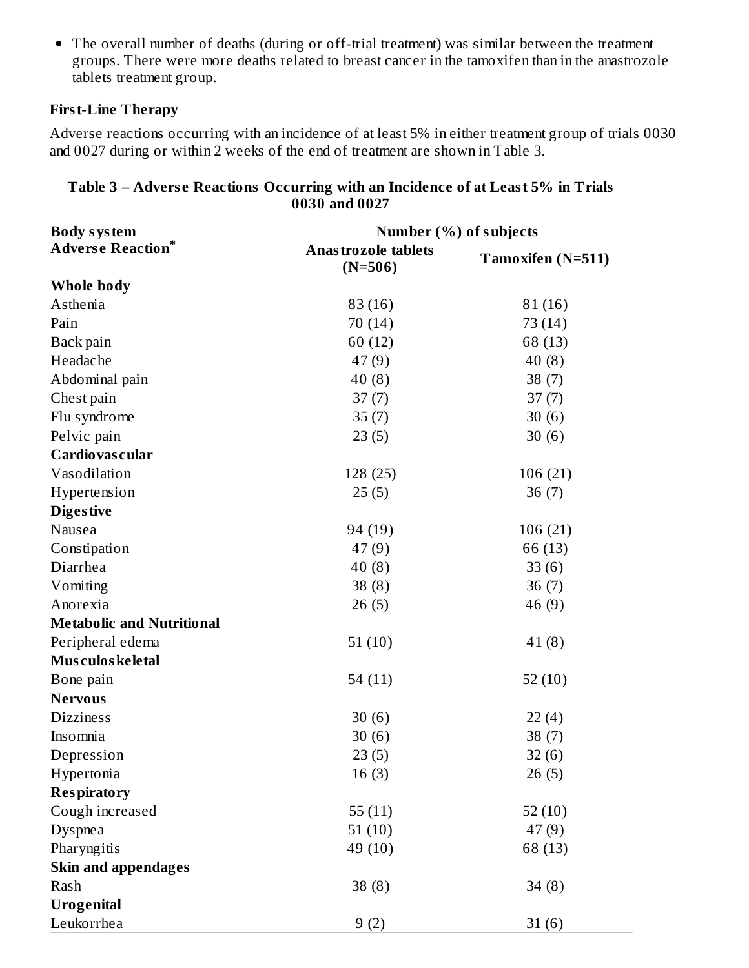• The overall number of deaths (during or off-trial treatment) was similar between the treatment groups. There were more deaths related to breast cancer in the tamoxifen than in the anastrozole tablets treatment group.

## **First-Line Therapy**

Adverse reactions occurring with an incidence of at least 5% in either treatment group of trials 0030 and 0027 during or within 2 weeks of the end of treatment are shown in Table 3.

| <b>Body system</b>               | Number (%) of subjects                  |                   |  |  |
|----------------------------------|-----------------------------------------|-------------------|--|--|
| <b>Adverse Reaction*</b>         | <b>Anastrozole tablets</b><br>$(N=506)$ | Tamoxifen (N=511) |  |  |
| Whole body                       |                                         |                   |  |  |
| Asthenia                         | 83 (16)                                 | 81(16)            |  |  |
| Pain                             | 70 (14)                                 | 73 (14)           |  |  |
| Back pain                        | 60(12)                                  | 68 (13)           |  |  |
| Headache                         | 47(9)                                   | 40(8)             |  |  |
| Abdominal pain                   | 40(8)                                   | 38(7)             |  |  |
| Chest pain                       | 37(7)                                   | 37(7)             |  |  |
| Flu syndrome                     | 35(7)                                   | 30(6)             |  |  |
| Pelvic pain                      | 23(5)                                   | 30(6)             |  |  |
| Cardiovas cular                  |                                         |                   |  |  |
| Vasodilation                     | 128 (25)                                | 106 (21)          |  |  |
| Hypertension                     | 25(5)                                   | 36(7)             |  |  |
| <b>Diges tive</b>                |                                         |                   |  |  |
| Nausea                           | 94 (19)                                 | 106 (21)          |  |  |
| Constipation                     | 47(9)                                   | 66 (13)           |  |  |
| Diarrhea                         | 40(8)                                   | 33(6)             |  |  |
| Vomiting                         | 38(8)                                   | 36(7)             |  |  |
| Anorexia                         | 26(5)                                   | 46 (9)            |  |  |
| <b>Metabolic and Nutritional</b> |                                         |                   |  |  |
| Peripheral edema                 | 51(10)                                  | 41(8)             |  |  |
| Mus culos keletal                |                                         |                   |  |  |
| Bone pain                        | 54 $(11)$                               | 52(10)            |  |  |
| <b>Nervous</b>                   |                                         |                   |  |  |
| <b>Dizziness</b>                 | 30(6)                                   | 22(4)             |  |  |
| Insomnia                         | 30(6)                                   | 38(7)             |  |  |
| Depression                       | 23(5)                                   | 32(6)             |  |  |
| Hypertonia                       | 16(3)                                   | 26(5)             |  |  |
| <b>Respiratory</b>               |                                         |                   |  |  |
| Cough increased                  | 55(11)                                  | 52(10)            |  |  |
| <b>Dyspnea</b>                   | 51(10)                                  | 47(9)             |  |  |
| Pharyngitis                      | 49 (10)                                 | 68 (13)           |  |  |
| <b>Skin and appendages</b>       |                                         |                   |  |  |
| Rash                             | 38(8)                                   | 34(8)             |  |  |
| <b>Urogenital</b>                |                                         |                   |  |  |
| Leukorrhea                       | 9(2)                                    | 31(6)             |  |  |

#### **Table 3 – Advers e Reactions Occurring with an Incidence of at Least 5% in Trials 0030 and 0027**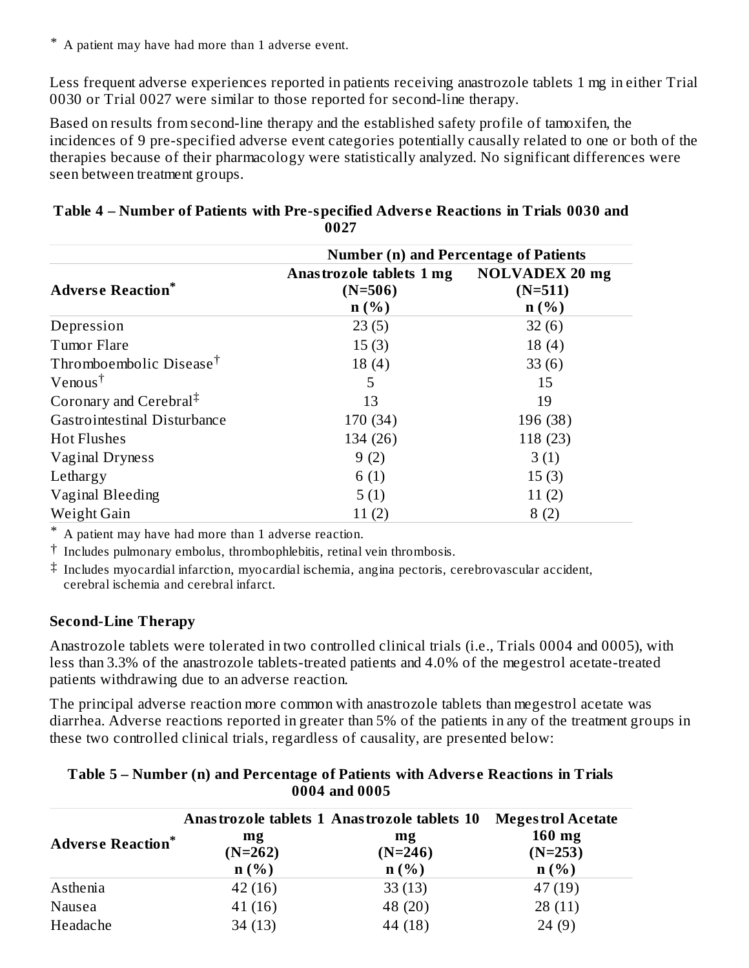\* A patient may have had more than 1 adverse event.

Less frequent adverse experiences reported in patients receiving anastrozole tablets 1 mg in either Trial 0030 or Trial 0027 were similar to those reported for second-line therapy.

Based on results from second-line therapy and the established safety profile of tamoxifen, the incidences of 9 pre-specified adverse event categories potentially causally related to one or both of the therapies because of their pharmacology were statistically analyzed. No significant differences were seen between treatment groups.

|                                     | <b>Number (n) and Percentage of Patients</b>  |                                               |  |  |
|-------------------------------------|-----------------------------------------------|-----------------------------------------------|--|--|
| <b>Adverse Reaction*</b>            | Anastrozole tablets 1 mg<br>$(N=506)$<br>n(%) | <b>NOLVADEX 20 mg</b><br>$(N=511)$<br>$n(\%)$ |  |  |
| Depression                          | 23(5)                                         | 32(6)                                         |  |  |
| Tumor Flare                         | 15(3)                                         | 18(4)                                         |  |  |
| Thromboembolic Disease <sup>†</sup> | 18(4)                                         | 33(6)                                         |  |  |
| $V$ enous <sup>†</sup>              | 5                                             | 15                                            |  |  |
| Coronary and Cerebral <sup>‡</sup>  | 13                                            | 19                                            |  |  |
| Gastrointestinal Disturbance        | 170 (34)                                      | 196 (38)                                      |  |  |
| <b>Hot Flushes</b>                  | 134 (26)                                      | 118 (23)                                      |  |  |
| Vaginal Dryness                     | 9(2)                                          | 3(1)                                          |  |  |
| Lethargy                            | 6(1)                                          | 15(3)                                         |  |  |
| Vaginal Bleeding                    | 5(1)                                          | 11(2)                                         |  |  |
| Weight Gain                         | 11(2)                                         | 8(2)                                          |  |  |

#### **Table 4 – Number of Patients with Pre-specified Advers e Reactions in Trials 0030 and 0027**

\* A patient may have had more than 1 adverse reaction.

† Includes pulmonary embolus, thrombophlebitis, retinal vein thrombosis.

‡ Includes myocardial infarction, myocardial ischemia, angina pectoris, cerebrovascular accident, cerebral ischemia and cerebral infarct.

#### **Second-Line Therapy**

Anastrozole tablets were tolerated in two controlled clinical trials (i.e., Trials 0004 and 0005), with less than 3.3% of the anastrozole tablets-treated patients and 4.0% of the megestrol acetate-treated patients withdrawing due to an adverse reaction.

The principal adverse reaction more common with anastrozole tablets than megestrol acetate was diarrhea. Adverse reactions reported in greater than 5% of the patients in any of the treatment groups in these two controlled clinical trials, regardless of causality, are presented below:

|                          |                 | Anastrozole tablets 1 Anastrozole tablets 10 | <b>Megestrol Acetate</b> |
|--------------------------|-----------------|----------------------------------------------|--------------------------|
| <b>Adverse Reaction*</b> | mg<br>$(N=262)$ | mg<br>$(N=246)$                              | $160$ mg<br>$(N=253)$    |
|                          | n(%)            | n(%)                                         | $n$ (%)                  |
| Asthenia                 | 42(16)          | 33(13)                                       | 47(19)                   |
| Nausea                   | 41(16)          | 48 (20)                                      | 28(11)                   |
| Headache                 | 34(13)          | 44 (18)                                      | 24(9)                    |

#### **Table 5 – Number (n) and Percentage of Patients with Advers e Reactions in Trials 0004 and 0005**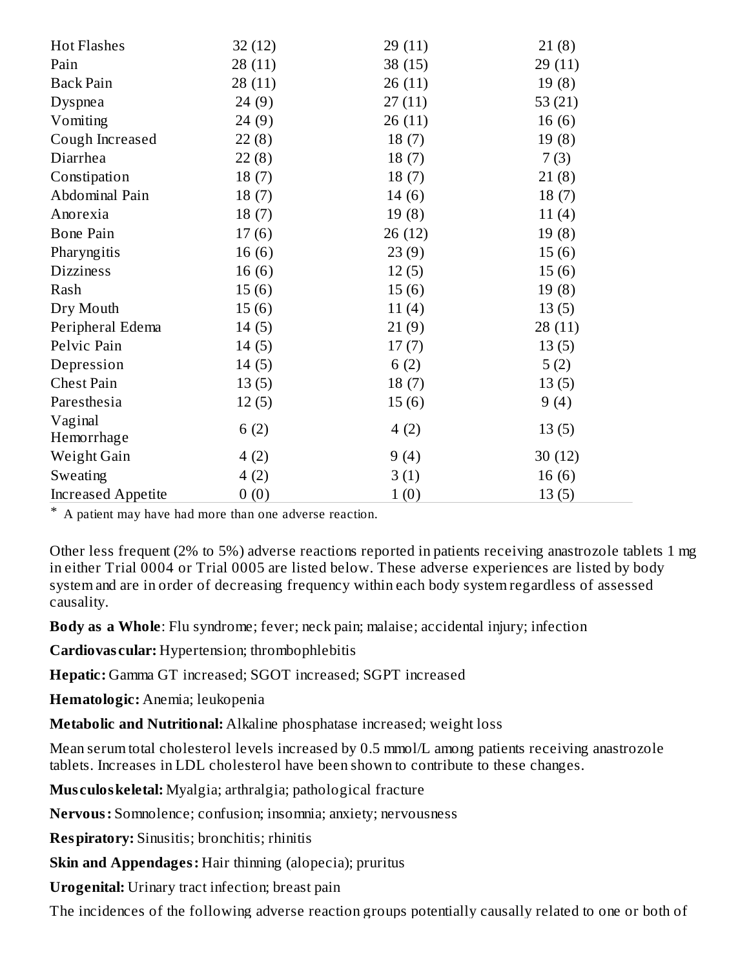| <b>Hot Flashes</b>        | 32(12)  | 29(11)  | 21(8)     |
|---------------------------|---------|---------|-----------|
| Pain                      | 28 (11) | 38 (15) | 29(11)    |
| <b>Back Pain</b>          | 28(11)  | 26(11)  | 19(8)     |
| Dyspnea                   | 24(9)   | 27(11)  | 53 $(21)$ |
| Vomiting                  | 24(9)   | 26(11)  | 16(6)     |
| Cough Increased           | 22(8)   | 18(7)   | 19(8)     |
| Diarrhea                  | 22(8)   | 18(7)   | 7(3)      |
| Constipation              | 18(7)   | 18(7)   | 21(8)     |
| Abdominal Pain            | 18(7)   | 14(6)   | 18(7)     |
| Anorexia                  | 18(7)   | 19(8)   | 11(4)     |
| <b>Bone Pain</b>          | 17(6)   | 26 (12) | 19(8)     |
| Pharyngitis               | 16(6)   | 23(9)   | 15(6)     |
| <b>Dizziness</b>          | 16(6)   | 12(5)   | 15(6)     |
| Rash                      | 15(6)   | 15(6)   | 19(8)     |
| Dry Mouth                 | 15(6)   | 11(4)   | 13(5)     |
| Peripheral Edema          | 14(5)   | 21(9)   | 28(11)    |
| Pelvic Pain               | 14(5)   | 17(7)   | 13(5)     |
| Depression                | 14(5)   | 6(2)    | 5(2)      |
| <b>Chest Pain</b>         | 13(5)   | 18(7)   | 13(5)     |
| Paresthesia               | 12(5)   | 15(6)   | 9(4)      |
| Vaginal                   | 6(2)    | 4(2)    | 13(5)     |
| Hemorrhage                |         |         |           |
| Weight Gain               | 4(2)    | 9(4)    | 30(12)    |
| Sweating                  | 4(2)    | 3(1)    | 16(6)     |
| <b>Increased Appetite</b> | 0(0)    | 1(0)    | 13(5)     |

\* A patient may have had more than one adverse reaction.

Other less frequent (2% to 5%) adverse reactions reported in patients receiving anastrozole tablets 1 mg in either Trial 0004 or Trial 0005 are listed below. These adverse experiences are listed by body system and are in order of decreasing frequency within each body system regardless of assessed causality.

**Body as a Whole**: Flu syndrome; fever; neck pain; malaise; accidental injury; infection

**Cardiovas cular:** Hypertension; thrombophlebitis

**Hepatic:** Gamma GT increased; SGOT increased; SGPT increased

**Hematologic:** Anemia; leukopenia

**Metabolic and Nutritional:** Alkaline phosphatase increased; weight loss

Mean serum total cholesterol levels increased by 0.5 mmol/L among patients receiving anastrozole tablets. Increases in LDL cholesterol have been shown to contribute to these changes.

**Mus culoskeletal:** Myalgia; arthralgia; pathological fracture

**Nervous:** Somnolence; confusion; insomnia; anxiety; nervousness

**Respiratory:** Sinusitis; bronchitis; rhinitis

**Skin and Appendages:** Hair thinning (alopecia); pruritus

**Urogenital:** Urinary tract infection; breast pain

The incidences of the following adverse reaction groups potentially causally related to one or both of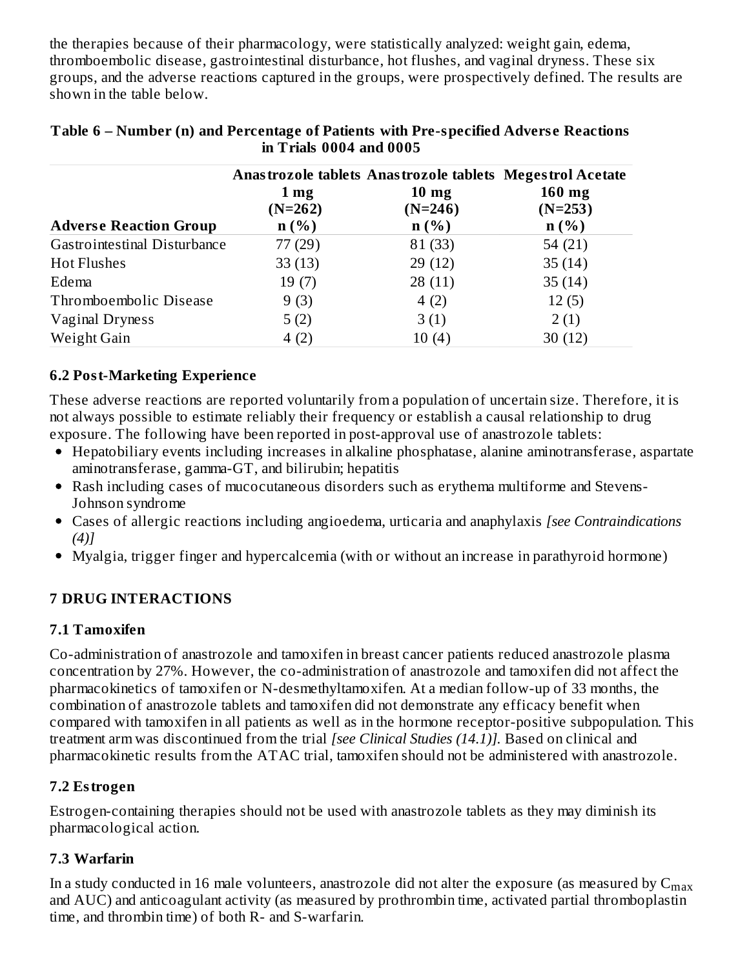the therapies because of their pharmacology, were statistically analyzed: weight gain, edema, thromboembolic disease, gastrointestinal disturbance, hot flushes, and vaginal dryness. These six groups, and the adverse reactions captured in the groups, were prospectively defined. The results are shown in the table below.

|                               | $1 \,\mathrm{mg}$<br>$(N=262)$ | Anastrozole tablets Anastrozole tablets Megestrol Acetate<br>$10 \text{ mg}$<br>$(N=246)$ | $160$ mg<br>$(N=253)$ |
|-------------------------------|--------------------------------|-------------------------------------------------------------------------------------------|-----------------------|
| <b>Adverse Reaction Group</b> | n(%)                           | $n(\%)$                                                                                   | n(%)                  |
| Gastrointestinal Disturbance  | 77 (29)                        | 81 (33)                                                                                   | 54 $(21)$             |
| <b>Hot Flushes</b>            | 33(13)                         | 29(12)                                                                                    | 35(14)                |
| Edema                         | 19(7)                          | 28(11)                                                                                    | 35(14)                |
| Thromboembolic Disease        | 9(3)                           | 4(2)                                                                                      | 12(5)                 |
| Vaginal Dryness               | 5(2)                           | 3(1)                                                                                      | 2(1)                  |
| Weight Gain                   | 4(2)                           | 10(4)                                                                                     | 30(12)                |

#### **Table 6 – Number (n) and Percentage of Patients with Pre-specified Advers e Reactions in Trials 0004 and 0005**

## **6.2 Post-Marketing Experience**

These adverse reactions are reported voluntarily from a population of uncertain size. Therefore, it is not always possible to estimate reliably their frequency or establish a causal relationship to drug exposure. The following have been reported in post-approval use of anastrozole tablets:

- Hepatobiliary events including increases in alkaline phosphatase, alanine aminotransferase, aspartate aminotransferase, gamma-GT, and bilirubin; hepatitis
- Rash including cases of mucocutaneous disorders such as erythema multiforme and Stevens-Johnson syndrome
- Cases of allergic reactions including angioedema, urticaria and anaphylaxis *[see Contraindications (4)]*
- Myalgia, trigger finger and hypercalcemia (with or without an increase in parathyroid hormone)

## **7 DRUG INTERACTIONS**

## **7.1 Tamoxifen**

Co-administration of anastrozole and tamoxifen in breast cancer patients reduced anastrozole plasma concentration by 27%. However, the co-administration of anastrozole and tamoxifen did not affect the pharmacokinetics of tamoxifen or N-desmethyltamoxifen. At a median follow-up of 33 months, the combination of anastrozole tablets and tamoxifen did not demonstrate any efficacy benefit when compared with tamoxifen in all patients as well as in the hormone receptor-positive subpopulation. This treatment arm was discontinued from the trial *[see Clinical Studies (14.1)].* Based on clinical and pharmacokinetic results from the ATAC trial, tamoxifen should not be administered with anastrozole.

## **7.2 Estrogen**

Estrogen-containing therapies should not be used with anastrozole tablets as they may diminish its pharmacological action.

# **7.3 Warfarin**

In a study conducted in 16 male volunteers, anastrozole did not alter the exposure (as measured by  $\mathsf{C}_{\max}$ and AUC) and anticoagulant activity (as measured by prothrombin time, activated partial thromboplastin time, and thrombin time) of both R- and S-warfarin.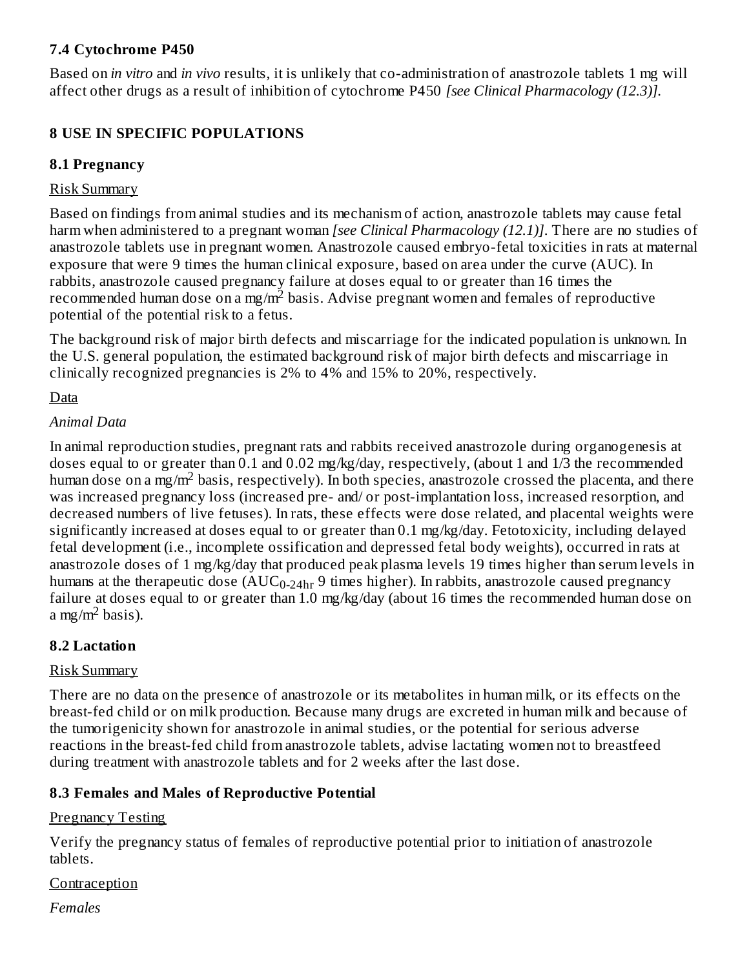#### **7.4 Cytochrome P450**

Based on *in vitro* and *in vivo* results, it is unlikely that co-administration of anastrozole tablets 1 mg will affect other drugs as a result of inhibition of cytochrome P450 *[see Clinical Pharmacology (12.3)].*

# **8 USE IN SPECIFIC POPULATIONS**

# **8.1 Pregnancy**

## Risk Summary

Based on findings from animal studies and its mechanism of action, anastrozole tablets may cause fetal harm when administered to a pregnant woman *[see Clinical Pharmacology (12.1)]*. There are no studies of anastrozole tablets use in pregnant women. Anastrozole caused embryo-fetal toxicities in rats at maternal exposure that were 9 times the human clinical exposure, based on area under the curve (AUC). In rabbits, anastrozole caused pregnancy failure at doses equal to or greater than 16 times the recommended human dose on a mg/m<sup>2</sup> basis. Advise pregnant women and females of reproductive potential of the potential risk to a fetus.

The background risk of major birth defects and miscarriage for the indicated population is unknown. In the U.S. general population, the estimated background risk of major birth defects and miscarriage in clinically recognized pregnancies is 2% to 4% and 15% to 20%, respectively.

Data

## *Animal Data*

In animal reproduction studies, pregnant rats and rabbits received anastrozole during organogenesis at doses equal to or greater than 0.1 and 0.02 mg/kg/day, respectively, (about 1 and 1/3 the recommended human dose on a mg/m<sup>2</sup> basis, respectively). In both species, anastrozole crossed the placenta, and there was increased pregnancy loss (increased pre- and/ or post-implantation loss, increased resorption, and decreased numbers of live fetuses). In rats, these effects were dose related, and placental weights were significantly increased at doses equal to or greater than 0.1 mg/kg/day. Fetotoxicity, including delayed fetal development (i.e., incomplete ossification and depressed fetal body weights), occurred in rats at anastrozole doses of 1 mg/kg/day that produced peak plasma levels 19 times higher than serum levels in humans at the therapeutic dose  $(AUC_{0\text{-}24hr}$  9 times higher). In rabbits, anastrozole caused pregnancy failure at doses equal to or greater than 1.0 mg/kg/day (about 16 times the recommended human dose on a mg/m<sup>2</sup> basis).

## **8.2 Lactation**

## Risk Summary

There are no data on the presence of anastrozole or its metabolites in human milk, or its effects on the breast-fed child or on milk production. Because many drugs are excreted in human milk and because of the tumorigenicity shown for anastrozole in animal studies, or the potential for serious adverse reactions in the breast-fed child from anastrozole tablets, advise lactating women not to breastfeed during treatment with anastrozole tablets and for 2 weeks after the last dose.

# **8.3 Females and Males of Reproductive Potential**

## Pregnancy Testing

Verify the pregnancy status of females of reproductive potential prior to initiation of anastrozole tablets.

Contraception

*Females*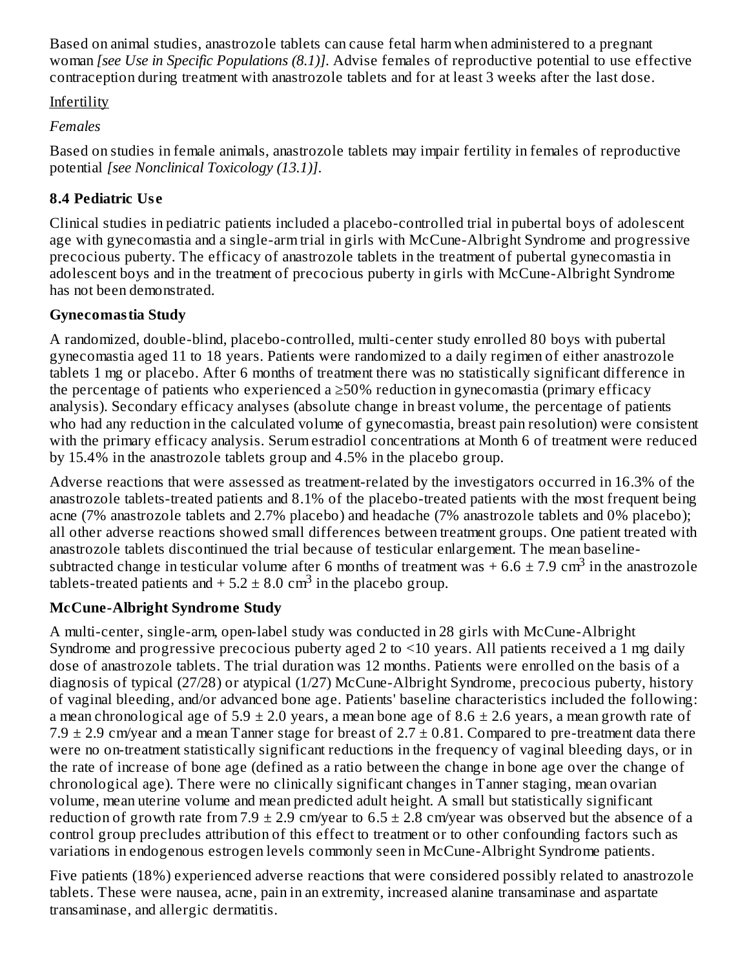Based on animal studies, anastrozole tablets can cause fetal harm when administered to a pregnant woman *[see Use in Specific Populations (8.1)]*. Advise females of reproductive potential to use effective contraception during treatment with anastrozole tablets and for at least 3 weeks after the last dose.

## **Infertility**

# *Females*

Based on studies in female animals, anastrozole tablets may impair fertility in females of reproductive potential *[see Nonclinical Toxicology (13.1)]*.

# **8.4 Pediatric Us e**

Clinical studies in pediatric patients included a placebo-controlled trial in pubertal boys of adolescent age with gynecomastia and a single-arm trial in girls with McCune-Albright Syndrome and progressive precocious puberty. The efficacy of anastrozole tablets in the treatment of pubertal gynecomastia in adolescent boys and in the treatment of precocious puberty in girls with McCune-Albright Syndrome has not been demonstrated.

# **Gynecomastia Study**

A randomized, double-blind, placebo-controlled, multi-center study enrolled 80 boys with pubertal gynecomastia aged 11 to 18 years. Patients were randomized to a daily regimen of either anastrozole tablets 1 mg or placebo. After 6 months of treatment there was no statistically significant difference in the percentage of patients who experienced a  $\geq$ 50% reduction in gynecomastia (primary efficacy analysis). Secondary efficacy analyses (absolute change in breast volume, the percentage of patients who had any reduction in the calculated volume of gynecomastia, breast pain resolution) were consistent with the primary efficacy analysis. Serum estradiol concentrations at Month 6 of treatment were reduced by 15.4% in the anastrozole tablets group and 4.5% in the placebo group.

Adverse reactions that were assessed as treatment-related by the investigators occurred in 16.3% of the anastrozole tablets-treated patients and 8.1% of the placebo-treated patients with the most frequent being acne (7% anastrozole tablets and 2.7% placebo) and headache (7% anastrozole tablets and 0% placebo); all other adverse reactions showed small differences between treatment groups. One patient treated with anastrozole tablets discontinued the trial because of testicular enlargement. The mean baselinesubtracted change in testicular volume after 6 months of treatment was  $+6.6 \pm 7.9 \text{ cm}^3$  in the anastrozole tablets-treated patients and  $+ 5.2 \pm 8.0 \text{ cm}^3$  in the placebo group.

# **McCune-Albright Syndrome Study**

A multi-center, single-arm, open-label study was conducted in 28 girls with McCune-Albright Syndrome and progressive precocious puberty aged 2 to <10 years. All patients received a 1 mg daily dose of anastrozole tablets. The trial duration was 12 months. Patients were enrolled on the basis of a diagnosis of typical (27/28) or atypical (1/27) McCune-Albright Syndrome, precocious puberty, history of vaginal bleeding, and/or advanced bone age. Patients' baseline characteristics included the following: a mean chronological age of 5.9  $\pm$  2.0 years, a mean bone age of 8.6  $\pm$  2.6 years, a mean growth rate of 7.9  $\pm$  2.9 cm/year and a mean Tanner stage for breast of 2.7  $\pm$  0.81. Compared to pre-treatment data there were no on-treatment statistically significant reductions in the frequency of vaginal bleeding days, or in the rate of increase of bone age (defined as a ratio between the change in bone age over the change of chronological age). There were no clinically significant changes in Tanner staging, mean ovarian volume, mean uterine volume and mean predicted adult height. A small but statistically significant reduction of growth rate from 7.9  $\pm$  2.9 cm/year to 6.5  $\pm$  2.8 cm/year was observed but the absence of a control group precludes attribution of this effect to treatment or to other confounding factors such as variations in endogenous estrogen levels commonly seen in McCune-Albright Syndrome patients.

Five patients (18%) experienced adverse reactions that were considered possibly related to anastrozole tablets. These were nausea, acne, pain in an extremity, increased alanine transaminase and aspartate transaminase, and allergic dermatitis.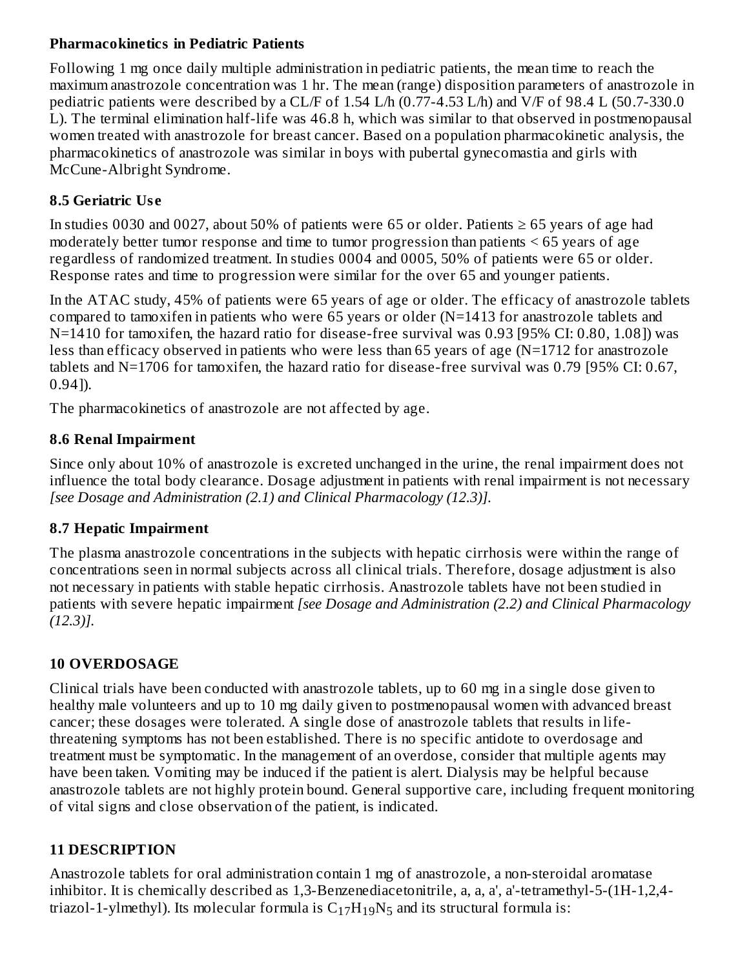#### **Pharmacokinetics in Pediatric Patients**

Following 1 mg once daily multiple administration in pediatric patients, the mean time to reach the maximum anastrozole concentration was 1 hr. The mean (range) disposition parameters of anastrozole in pediatric patients were described by a CL/F of 1.54 L/h (0.77-4.53 L/h) and V/F of 98.4 L (50.7-330.0 L). The terminal elimination half-life was 46.8 h, which was similar to that observed in postmenopausal women treated with anastrozole for breast cancer. Based on a population pharmacokinetic analysis, the pharmacokinetics of anastrozole was similar in boys with pubertal gynecomastia and girls with McCune-Albright Syndrome.

## **8.5 Geriatric Us e**

In studies 0030 and 0027, about 50% of patients were 65 or older. Patients  $\geq 65$  years of age had moderately better tumor response and time to tumor progression than patients < 65 years of age regardless of randomized treatment. In studies 0004 and 0005, 50% of patients were 65 or older. Response rates and time to progression were similar for the over 65 and younger patients.

In the ATAC study, 45% of patients were 65 years of age or older. The efficacy of anastrozole tablets compared to tamoxifen in patients who were 65 years or older (N=1413 for anastrozole tablets and N=1410 for tamoxifen, the hazard ratio for disease-free survival was 0.93 [95% CI: 0.80, 1.08]) was less than efficacy observed in patients who were less than 65 years of age (N=1712 for anastrozole tablets and N=1706 for tamoxifen, the hazard ratio for disease-free survival was 0.79 [95% CI: 0.67, 0.94]).

The pharmacokinetics of anastrozole are not affected by age.

## **8.6 Renal Impairment**

Since only about 10% of anastrozole is excreted unchanged in the urine, the renal impairment does not influence the total body clearance. Dosage adjustment in patients with renal impairment is not necessary *[see Dosage and Administration (2.1) and Clinical Pharmacology (12.3)].*

## **8.7 Hepatic Impairment**

The plasma anastrozole concentrations in the subjects with hepatic cirrhosis were within the range of concentrations seen in normal subjects across all clinical trials. Therefore, dosage adjustment is also not necessary in patients with stable hepatic cirrhosis. Anastrozole tablets have not been studied in patients with severe hepatic impairment *[see Dosage and Administration (2.2) and Clinical Pharmacology (12.3)].*

# **10 OVERDOSAGE**

Clinical trials have been conducted with anastrozole tablets, up to 60 mg in a single dose given to healthy male volunteers and up to 10 mg daily given to postmenopausal women with advanced breast cancer; these dosages were tolerated. A single dose of anastrozole tablets that results in lifethreatening symptoms has not been established. There is no specific antidote to overdosage and treatment must be symptomatic. In the management of an overdose, consider that multiple agents may have been taken. Vomiting may be induced if the patient is alert. Dialysis may be helpful because anastrozole tablets are not highly protein bound. General supportive care, including frequent monitoring of vital signs and close observation of the patient, is indicated.

## **11 DESCRIPTION**

Anastrozole tablets for oral administration contain 1 mg of anastrozole, a non-steroidal aromatase inhibitor. It is chemically described as 1,3-Benzenediacetonitrile, a, a, a', a'-tetramethyl-5-(1H-1,2,4 triazol-1-ylmethyl). Its molecular formula is  $C_{17}H_{19}N_5$  and its structural formula is: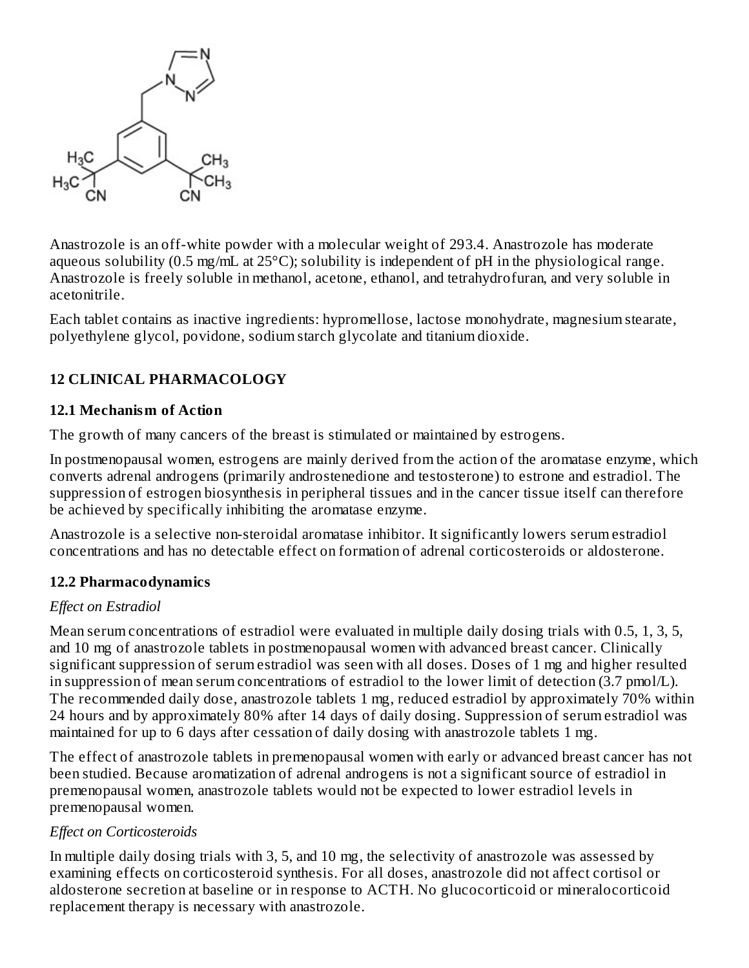

Anastrozole is an off-white powder with a molecular weight of 293.4. Anastrozole has moderate aqueous solubility (0.5 mg/mL at 25°C); solubility is independent of pH in the physiological range. Anastrozole is freely soluble in methanol, acetone, ethanol, and tetrahydrofuran, and very soluble in acetonitrile.

Each tablet contains as inactive ingredients: hypromellose, lactose monohydrate, magnesium stearate, polyethylene glycol, povidone, sodium starch glycolate and titanium dioxide.

## **12 CLINICAL PHARMACOLOGY**

#### **12.1 Mechanism of Action**

The growth of many cancers of the breast is stimulated or maintained by estrogens.

In postmenopausal women, estrogens are mainly derived from the action of the aromatase enzyme, which converts adrenal androgens (primarily androstenedione and testosterone) to estrone and estradiol. The suppression of estrogen biosynthesis in peripheral tissues and in the cancer tissue itself can therefore be achieved by specifically inhibiting the aromatase enzyme.

Anastrozole is a selective non-steroidal aromatase inhibitor. It significantly lowers serum estradiol concentrations and has no detectable effect on formation of adrenal corticosteroids or aldosterone.

#### **12.2 Pharmacodynamics**

#### *Effect on Estradiol*

Mean serum concentrations of estradiol were evaluated in multiple daily dosing trials with 0.5, 1, 3, 5, and 10 mg of anastrozole tablets in postmenopausal women with advanced breast cancer. Clinically significant suppression of serum estradiol was seen with all doses. Doses of 1 mg and higher resulted in suppression of mean serum concentrations of estradiol to the lower limit of detection (3.7 pmol/L). The recommended daily dose, anastrozole tablets 1 mg, reduced estradiol by approximately 70% within 24 hours and by approximately 80% after 14 days of daily dosing. Suppression of serum estradiol was maintained for up to 6 days after cessation of daily dosing with anastrozole tablets 1 mg.

The effect of anastrozole tablets in premenopausal women with early or advanced breast cancer has not been studied. Because aromatization of adrenal androgens is not a significant source of estradiol in premenopausal women, anastrozole tablets would not be expected to lower estradiol levels in premenopausal women.

#### *Effect on Corticosteroids*

In multiple daily dosing trials with 3, 5, and 10 mg, the selectivity of anastrozole was assessed by examining effects on corticosteroid synthesis. For all doses, anastrozole did not affect cortisol or aldosterone secretion at baseline or in response to ACTH. No glucocorticoid or mineralocorticoid replacement therapy is necessary with anastrozole.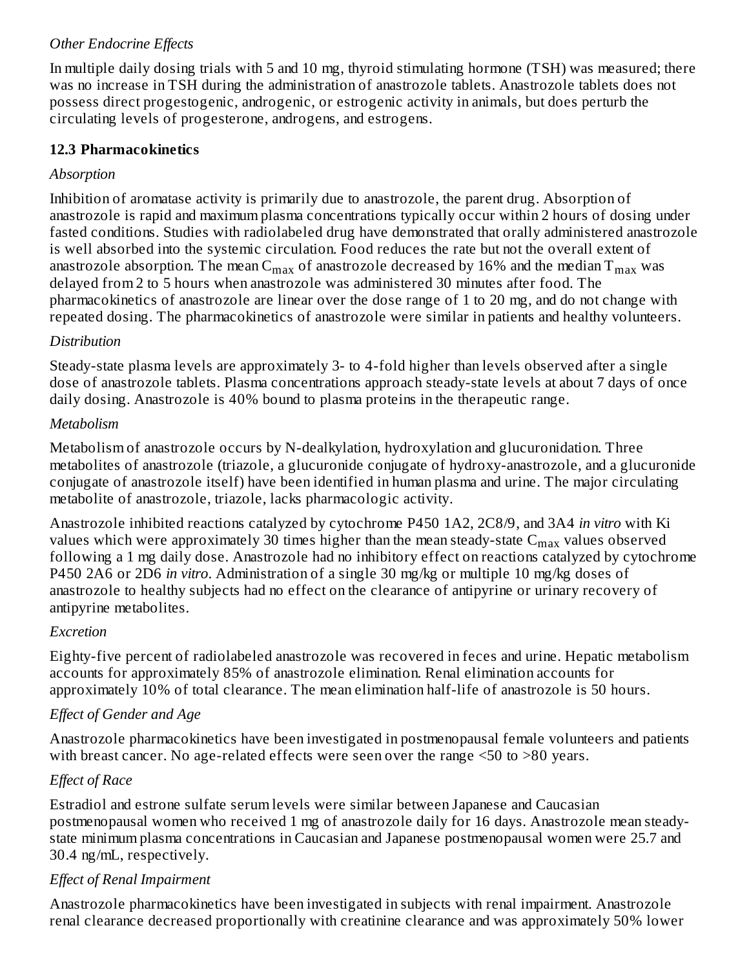## *Other Endocrine Effects*

In multiple daily dosing trials with 5 and 10 mg, thyroid stimulating hormone (TSH) was measured; there was no increase in TSH during the administration of anastrozole tablets. Anastrozole tablets does not possess direct progestogenic, androgenic, or estrogenic activity in animals, but does perturb the circulating levels of progesterone, androgens, and estrogens.

#### **12.3 Pharmacokinetics**

#### *Absorption*

Inhibition of aromatase activity is primarily due to anastrozole, the parent drug. Absorption of anastrozole is rapid and maximum plasma concentrations typically occur within 2 hours of dosing under fasted conditions. Studies with radiolabeled drug have demonstrated that orally administered anastrozole is well absorbed into the systemic circulation. Food reduces the rate but not the overall extent of anastrozole absorption. The mean  $\mathsf{C}_{\max}$  of anastrozole decreased by 16% and the median  $\mathsf{T}_{\max}$  was delayed from 2 to 5 hours when anastrozole was administered 30 minutes after food. The pharmacokinetics of anastrozole are linear over the dose range of 1 to 20 mg, and do not change with repeated dosing. The pharmacokinetics of anastrozole were similar in patients and healthy volunteers.

#### *Distribution*

Steady-state plasma levels are approximately 3- to 4-fold higher than levels observed after a single dose of anastrozole tablets. Plasma concentrations approach steady-state levels at about 7 days of once daily dosing. Anastrozole is 40% bound to plasma proteins in the therapeutic range.

#### *Metabolism*

Metabolism of anastrozole occurs by N-dealkylation, hydroxylation and glucuronidation. Three metabolites of anastrozole (triazole, a glucuronide conjugate of hydroxy-anastrozole, and a glucuronide conjugate of anastrozole itself) have been identified in human plasma and urine. The major circulating metabolite of anastrozole, triazole, lacks pharmacologic activity.

Anastrozole inhibited reactions catalyzed by cytochrome P450 1A2, 2C8/9, and 3A4 *in vitro* with Ki values which were approximately 30 times higher than the mean steady-state  $\mathsf{C}_{\max}$  values observed following a 1 mg daily dose. Anastrozole had no inhibitory effect on reactions catalyzed by cytochrome P450 2A6 or 2D6 *in vitro*. Administration of a single 30 mg/kg or multiple 10 mg/kg doses of anastrozole to healthy subjects had no effect on the clearance of antipyrine or urinary recovery of antipyrine metabolites.

## *Excretion*

Eighty-five percent of radiolabeled anastrozole was recovered in feces and urine. Hepatic metabolism accounts for approximately 85% of anastrozole elimination. Renal elimination accounts for approximately 10% of total clearance. The mean elimination half-life of anastrozole is 50 hours.

# *Effect of Gender and Age*

Anastrozole pharmacokinetics have been investigated in postmenopausal female volunteers and patients with breast cancer. No age-related effects were seen over the range <50 to >80 years.

## *Effect of Race*

Estradiol and estrone sulfate serum levels were similar between Japanese and Caucasian postmenopausal women who received 1 mg of anastrozole daily for 16 days. Anastrozole mean steadystate minimum plasma concentrations in Caucasian and Japanese postmenopausal women were 25.7 and 30.4 ng/mL, respectively.

## *Effect of Renal Impairment*

Anastrozole pharmacokinetics have been investigated in subjects with renal impairment. Anastrozole renal clearance decreased proportionally with creatinine clearance and was approximately 50% lower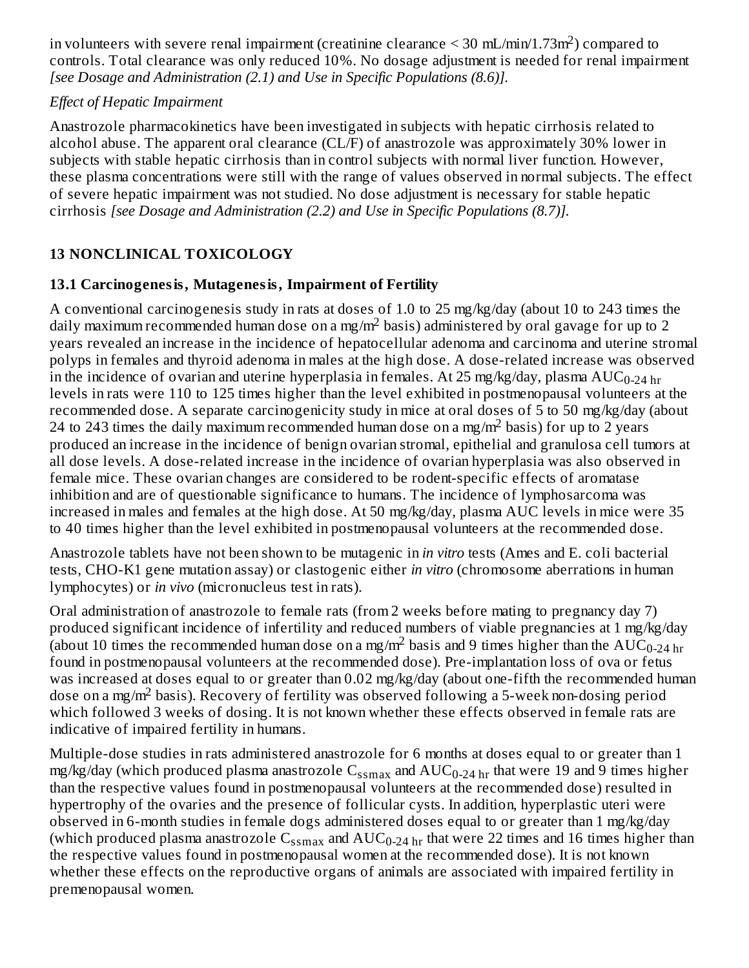in volunteers with severe renal impairment (creatinine clearance  $\leq$  30 mL/min/1.73m<sup>2</sup>) compared to controls. Total clearance was only reduced 10%. No dosage adjustment is needed for renal impairment *[see Dosage and Administration (2.1) and Use in Specific Populations (8.6)].*

## *Effect of Hepatic Impairment*

Anastrozole pharmacokinetics have been investigated in subjects with hepatic cirrhosis related to alcohol abuse. The apparent oral clearance (CL/F) of anastrozole was approximately 30% lower in subjects with stable hepatic cirrhosis than in control subjects with normal liver function. However, these plasma concentrations were still with the range of values observed in normal subjects. The effect of severe hepatic impairment was not studied. No dose adjustment is necessary for stable hepatic cirrhosis *[see Dosage and Administration (2.2) and Use in Specific Populations (8.7)].*

# **13 NONCLINICAL TOXICOLOGY**

# **13.1 Carcinogenesis, Mutagenesis, Impairment of Fertility**

A conventional carcinogenesis study in rats at doses of 1.0 to 25 mg/kg/day (about 10 to 243 times the daily maximum recommended human dose on a mg/m<sup>2</sup> basis) administered by oral gavage for up to 2 years revealed an increase in the incidence of hepatocellular adenoma and carcinoma and uterine stromal polyps in females and thyroid adenoma in males at the high dose. A dose-related increase was observed in the incidence of ovarian and uterine hyperplasia in females. At 25 mg/kg/day, plasma  $\rm AUC_{0\text{-}24\,hr}$ levels in rats were 110 to 125 times higher than the level exhibited in postmenopausal volunteers at the recommended dose. A separate carcinogenicity study in mice at oral doses of 5 to 50 mg/kg/day (about 24 to 243 times the daily maximum recommended human dose on a mg/m<sup>2</sup> basis) for up to 2 years produced an increase in the incidence of benign ovarian stromal, epithelial and granulosa cell tumors at all dose levels. A dose-related increase in the incidence of ovarian hyperplasia was also observed in female mice. These ovarian changes are considered to be rodent-specific effects of aromatase inhibition and are of questionable significance to humans. The incidence of lymphosarcoma was increased in males and females at the high dose. At 50 mg/kg/day, plasma AUC levels in mice were 35 to 40 times higher than the level exhibited in postmenopausal volunteers at the recommended dose.

Anastrozole tablets have not been shown to be mutagenic in *in vitro* tests (Ames and E. coli bacterial tests, CHO-K1 gene mutation assay) or clastogenic either *in vitro* (chromosome aberrations in human lymphocytes) or *in vivo* (micronucleus test in rats).

Oral administration of anastrozole to female rats (from 2 weeks before mating to pregnancy day 7) produced significant incidence of infertility and reduced numbers of viable pregnancies at 1 mg/kg/day (about 10 times the recommended human dose on a mg/m<sup>2</sup> basis and 9 times higher than the  $\rm AUC_{0\text{-}24\,hr}$ found in postmenopausal volunteers at the recommended dose). Pre-implantation loss of ova or fetus was increased at doses equal to or greater than 0.02 mg/kg/day (about one-fifth the recommended human dose on a mg/m<sup>2</sup> basis). Recovery of fertility was observed following a 5-week non-dosing period which followed 3 weeks of dosing. It is not known whether these effects observed in female rats are indicative of impaired fertility in humans.

Multiple-dose studies in rats administered anastrozole for 6 months at doses equal to or greater than 1 mg/kg/day (which produced plasma anastrozole  $\rm{C_{ssmax}}$  and  $\rm{AUC_{0-24}}$   $\rm{_{hr}}$  that were 19 and 9 times higher than the respective values found in postmenopausal volunteers at the recommended dose) resulted in hypertrophy of the ovaries and the presence of follicular cysts. In addition, hyperplastic uteri were observed in 6-month studies in female dogs administered doses equal to or greater than 1 mg/kg/day (which produced plasma anastrozole  $\rm{C_{ssmax}}$  and  $\rm{AUC_{0-24}}$   $\rm{_{hr}}$  that were 22 times and 16 times higher than the respective values found in postmenopausal women at the recommended dose). It is not known whether these effects on the reproductive organs of animals are associated with impaired fertility in premenopausal women.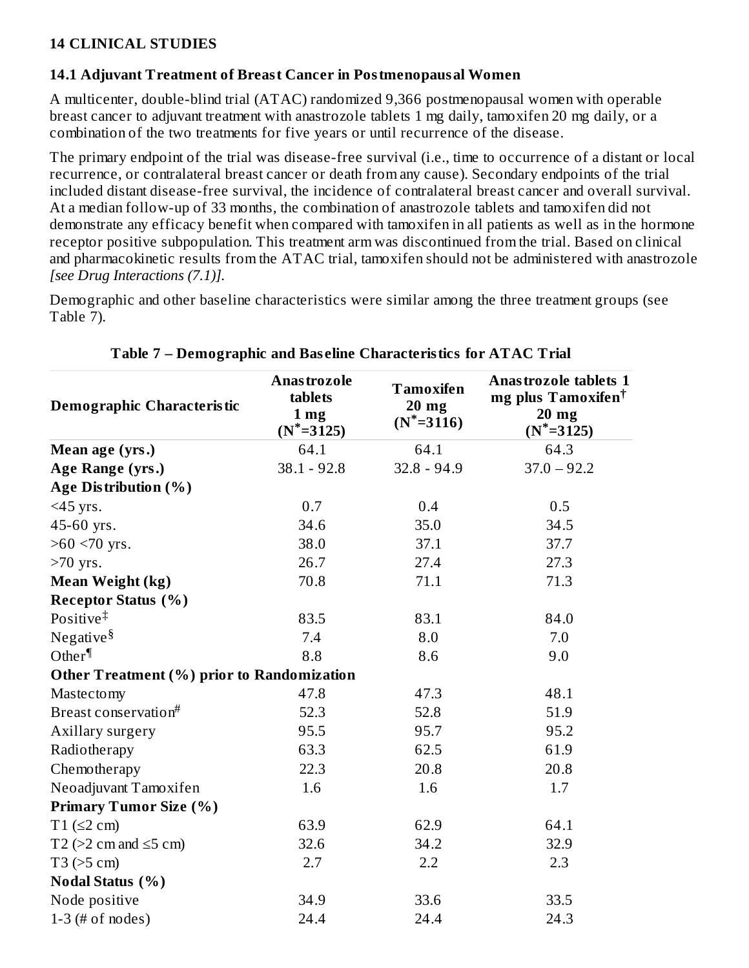#### **14 CLINICAL STUDIES**

#### **14.1 Adjuvant Treatment of Breast Cancer in Postmenopausal Women**

A multicenter, double-blind trial (ATAC) randomized 9,366 postmenopausal women with operable breast cancer to adjuvant treatment with anastrozole tablets 1 mg daily, tamoxifen 20 mg daily, or a combination of the two treatments for five years or until recurrence of the disease.

The primary endpoint of the trial was disease-free survival (i.e., time to occurrence of a distant or local recurrence, or contralateral breast cancer or death from any cause). Secondary endpoints of the trial included distant disease-free survival, the incidence of contralateral breast cancer and overall survival. At a median follow-up of 33 months, the combination of anastrozole tablets and tamoxifen did not demonstrate any efficacy benefit when compared with tamoxifen in all patients as well as in the hormone receptor positive subpopulation. This treatment arm was discontinued from the trial. Based on clinical and pharmacokinetic results from the ATAC trial, tamoxifen should not be administered with anastrozole *[see Drug Interactions (7.1)].*

Demographic and other baseline characteristics were similar among the three treatment groups (see Table 7).

| <b>Demographic Characteristic</b>                 | Anastrozole<br>tablets<br>1 <sub>mg</sub><br>$(N^* = 3125)$ | <b>Tamoxifen</b><br>$20$ mg<br>$(N^* = 3116)$ | <b>Anastrozole tablets 1</b><br>mg plus Tamoxifen <sup>†</sup><br>20 mg<br>$(N^* = 3125)$ |
|---------------------------------------------------|-------------------------------------------------------------|-----------------------------------------------|-------------------------------------------------------------------------------------------|
| Mean age (yrs.)                                   | 64.1                                                        | 64.1                                          | 64.3                                                                                      |
| Age Range (yrs.)                                  | $38.1 - 92.8$                                               | $32.8 - 94.9$                                 | $37.0 - 92.2$                                                                             |
| Age Distribution (%)                              |                                                             |                                               |                                                                                           |
| $<$ 45 yrs.                                       | 0.7                                                         | 0.4                                           | 0.5                                                                                       |
| 45-60 yrs.                                        | 34.6                                                        | 35.0                                          | 34.5                                                                                      |
| $>60$ <70 yrs.                                    | 38.0                                                        | 37.1                                          | 37.7                                                                                      |
| $>70$ yrs.                                        | 26.7                                                        | 27.4                                          | 27.3                                                                                      |
| Mean Weight (kg)                                  | 70.8                                                        | 71.1                                          | 71.3                                                                                      |
| <b>Receptor Status (%)</b>                        |                                                             |                                               |                                                                                           |
| Positive $\ddagger$                               | 83.5                                                        | 83.1                                          | 84.0                                                                                      |
| Negative <sup>§</sup>                             | 7.4                                                         | 8.0                                           | 7.0                                                                                       |
| Other $\P$                                        | 8.8                                                         | 8.6                                           | 9.0                                                                                       |
| <b>Other Treatment (%) prior to Randomization</b> |                                                             |                                               |                                                                                           |
| Mastectomy                                        | 47.8                                                        | 47.3                                          | 48.1                                                                                      |
| Breast conservation#                              | 52.3                                                        | 52.8                                          | 51.9                                                                                      |
| Axillary surgery                                  | 95.5                                                        | 95.7                                          | 95.2                                                                                      |
| Radiotherapy                                      | 63.3                                                        | 62.5                                          | 61.9                                                                                      |
| Chemotherapy                                      | 22.3                                                        | 20.8                                          | 20.8                                                                                      |
| Neoadjuvant Tamoxifen                             | 1.6                                                         | 1.6                                           | 1.7                                                                                       |
| <b>Primary Tumor Size (%)</b>                     |                                                             |                                               |                                                                                           |
| $T1$ ( $\leq$ 2 cm)                               | 63.9                                                        | 62.9                                          | 64.1                                                                                      |
| T2 ( $>2$ cm and $\leq$ 5 cm)                     | 32.6                                                        | 34.2                                          | 32.9                                                                                      |
| T3 (>5 cm)                                        | 2.7                                                         | 2.2                                           | 2.3                                                                                       |
| <b>Nodal Status (%)</b>                           |                                                             |                                               |                                                                                           |
| Node positive                                     | 34.9                                                        | 33.6                                          | 33.5                                                                                      |
| $1-3$ (# of nodes)                                | 24.4                                                        | 24.4                                          | 24.3                                                                                      |

#### **Table 7 – Demographic and Bas eline Characteristics for ATAC Trial**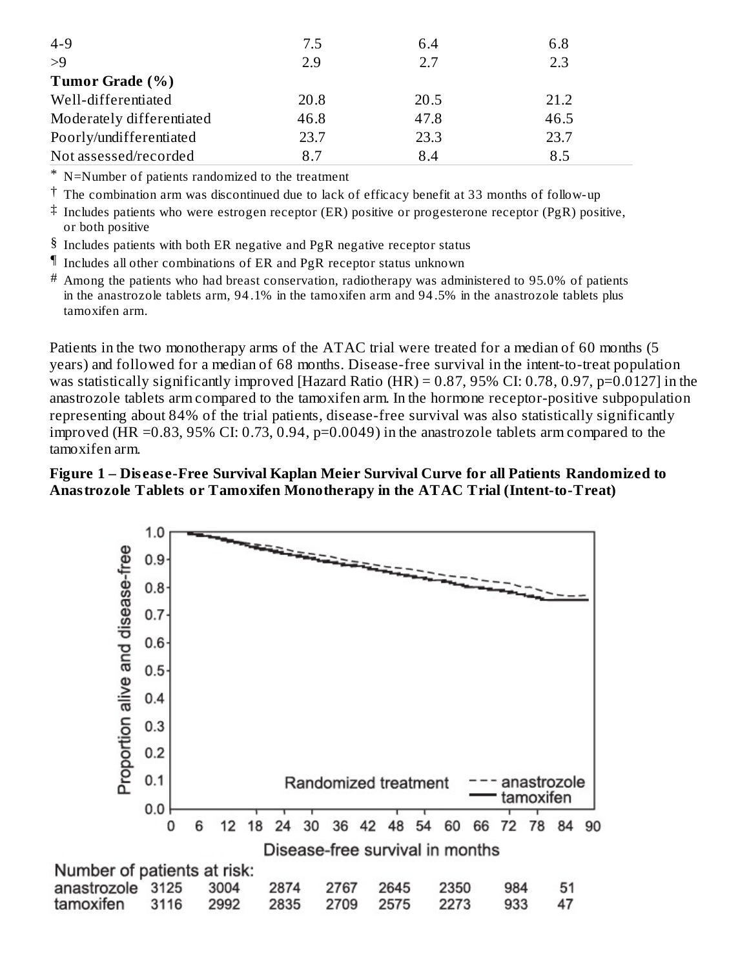| $4 - 9$                   | 7.5  | 6.4  | 6.8  |
|---------------------------|------|------|------|
| >9                        | 2.9  | 2.7  | 2.3  |
| Tumor Grade (%)           |      |      |      |
| Well-differentiated       | 20.8 | 20.5 | 21.2 |
| Moderately differentiated | 46.8 | 47.8 | 46.5 |
| Poorly/undifferentiated   | 23.7 | 23.3 | 23.7 |
| Not assessed/recorded     | 8.7  | 8.4  | 8.5  |

\* N=Number of patients randomized to the treatment

 $^\dagger$  The combination arm was discontinued due to lack of efficacy benefit at 33 months of follow-up

 $^\ddag$  Includes patients who were estrogen receptor (ER) positive or progesterone receptor (PgR) positive, or both positive

- $§$  Includes patients with both ER negative and PgR negative receptor status
- ¶ Includes all other combinations of ER and PgR receptor status unknown
- $^\#$  Among the patients who had breast conservation, radiotherapy was administered to 95.0% of patients in the anastrozole tablets arm, 94 .1% in the tamoxifen arm and 94 .5% in the anastrozole tablets plus tamoxifen arm.

Patients in the two monotherapy arms of the ATAC trial were treated for a median of 60 months (5 years) and followed for a median of 68 months. Disease-free survival in the intent-to-treat population was statistically significantly improved [Hazard Ratio (HR) = 0.87, 95% CI: 0.78, 0.97, p=0.0127] in the anastrozole tablets arm compared to the tamoxifen arm. In the hormone receptor-positive subpopulation representing about 84% of the trial patients, disease-free survival was also statistically significantly improved (HR =0.83, 95% CI: 0.73, 0.94, p=0.0049) in the anastrozole tablets arm compared to the tamoxifen arm.

#### **Figure 1 – Dis eas e-Free Survival Kaplan Meier Survival Curve for all Patients Randomized to Anastrozole Tablets or Tamoxifen Monotherapy in the ATAC Trial (Intent-to-Treat)**

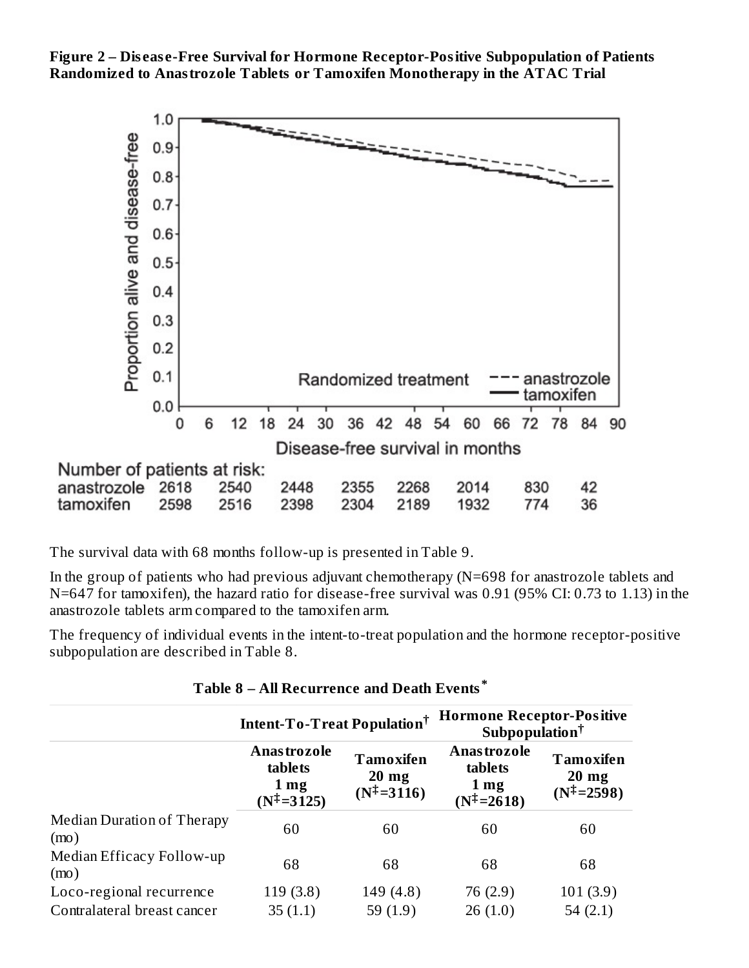**Figure 2 – Dis eas e-Free Survival for Hormone Receptor-Positive Subpopulation of Patients Randomized to Anastrozole Tablets or Tamoxifen Monotherapy in the ATAC Trial**



The survival data with 68 months follow-up is presented in Table 9.

In the group of patients who had previous adjuvant chemotherapy (N=698 for anastrozole tablets and N=647 for tamoxifen), the hazard ratio for disease-free survival was 0.91 (95% CI: 0.73 to 1.13) in the anastrozole tablets arm compared to the tamoxifen arm.

The frequency of individual events in the intent-to-treat population and the hormone receptor-positive subpopulation are described in Table 8.

|                                    | Intent-To-Treat Population <sup>†</sup>                                   |                                                              | <b>Hormone Receptor-Positive</b><br>Subpopulation <sup>†</sup>            |                                                              |
|------------------------------------|---------------------------------------------------------------------------|--------------------------------------------------------------|---------------------------------------------------------------------------|--------------------------------------------------------------|
|                                    | <b>Anastrozole</b><br>tablets<br>1 <sub>mg</sub><br>$(N^{\ddagger}=3125)$ | <b>Tamoxifen</b><br>$20 \text{ mg}$<br>$(N^{\ddagger}=3116)$ | <b>Anastrozole</b><br>tablets<br>1 <sub>mg</sub><br>$(N^{\ddagger}=2618)$ | <b>Tamoxifen</b><br>$20 \text{ mg}$<br>$(N^{\ddagger}=2598)$ |
| Median Duration of Therapy<br>(mo) | 60                                                                        | 60                                                           | 60                                                                        | 60                                                           |
| Median Efficacy Follow-up<br>(mo)  | 68                                                                        | 68                                                           | 68                                                                        | 68                                                           |
| Loco-regional recurrence           | 119(3.8)                                                                  | 149 (4.8)                                                    | 76 (2.9)                                                                  | 101(3.9)                                                     |
| Contralateral breast cancer        | 35(1.1)                                                                   | 59 $(1.9)$                                                   | 26(1.0)                                                                   | 54 $(2.1)$                                                   |

**Table 8 – All Recurrence and Death Events \***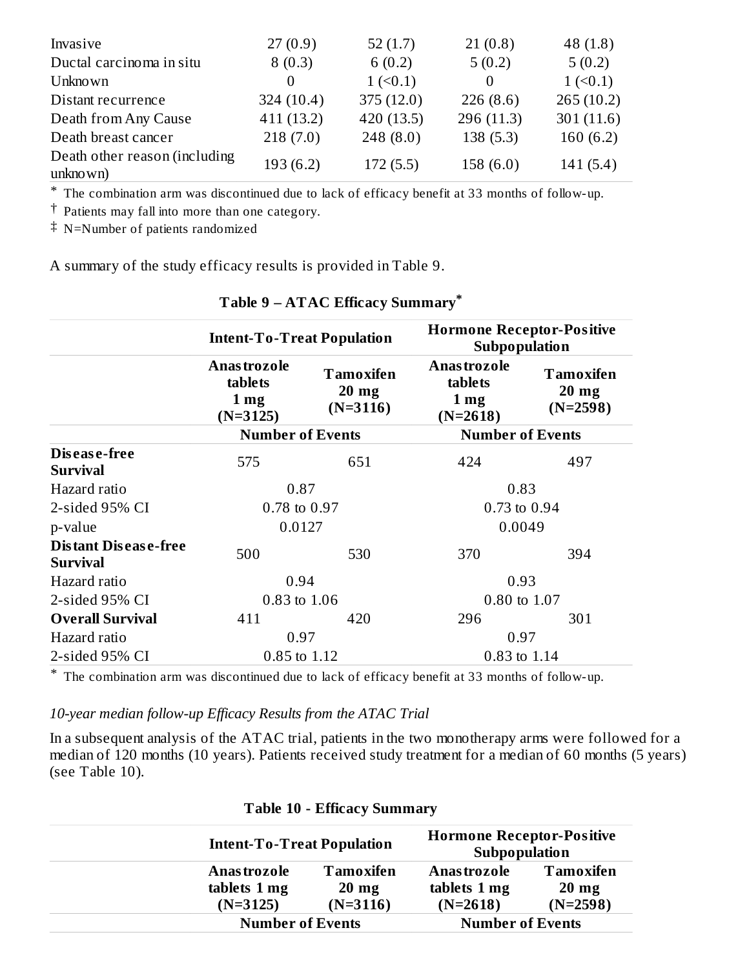| Invasive                                  | 27(0.9)      | 52 $(1.7)$              | 21(0.8)     | 48 $(1.8)$              |
|-------------------------------------------|--------------|-------------------------|-------------|-------------------------|
| Ductal carcinoma in situ                  | 8(0.3)       | 6(0.2)                  | 5(0.2)      | 5(0.2)                  |
| <b>Unknown</b>                            | $\theta$     | $1 \left( 50.1 \right)$ |             | $1 \left( 50.1 \right)$ |
| Distant recurrence                        | 324 $(10.4)$ | 375(12.0)               | 226(8.6)    | 265(10.2)               |
| Death from Any Cause                      | 411(13.2)    | 420 (13.5)              | 296 (11.3)  | 301(11.6)               |
| Death breast cancer                       | 218(7.0)     | 248(8.0)                | 138(5.3)    | 160(6.2)                |
| Death other reason (including<br>unknown) | 193(6.2)     | 172(5.5)                | 158 $(6.0)$ | 141(5.4)                |

\* The combination arm was discontinued due to lack of efficacy benefit at 33 months of follow-up.

† Patients may fall into more than one category.

‡ N=Number of patients randomized

A summary of the study efficacy results is provided in Table 9.

|                                         | <b>Intent-To-Treat Population</b>                              |                                            | <b>Hormone Receptor-Positive</b><br>Subpopulation              |                                           |
|-----------------------------------------|----------------------------------------------------------------|--------------------------------------------|----------------------------------------------------------------|-------------------------------------------|
|                                         | <b>Anastrozole</b><br>tablets<br>1 <sub>mg</sub><br>$(N=3125)$ | Tamoxifen<br>$20 \text{ mg}$<br>$(N=3116)$ | <b>Anastrozole</b><br>tablets<br>1 <sub>mg</sub><br>$(N=2618)$ | <b>Tamoxifen</b><br>$20$ mg<br>$(N=2598)$ |
|                                         | <b>Number of Events</b>                                        |                                            | <b>Number of Events</b>                                        |                                           |
| Disease-free<br><b>Survival</b>         | 575                                                            | 651                                        | 424                                                            | 497                                       |
| Hazard ratio                            | 0.87                                                           |                                            | 0.83                                                           |                                           |
| 2-sided 95% CI                          | 0.78 to 0.97                                                   |                                            | 0.73 to 0.94                                                   |                                           |
| p-value                                 | 0.0127                                                         |                                            | 0.0049                                                         |                                           |
| Distant Disease-free<br><b>Survival</b> | 500                                                            | 530                                        | 370                                                            | 394                                       |
| Hazard ratio                            | 0.94                                                           |                                            | 0.93                                                           |                                           |
| 2-sided 95% CI                          | 0.83 to 1.06                                                   |                                            | 0.80 to 1.07                                                   |                                           |
| <b>Overall Survival</b>                 | 411                                                            | 420                                        | 296                                                            | 301                                       |
| Hazard ratio                            | 0.97                                                           |                                            | 0.97                                                           |                                           |
| 2-sided 95% CI                          | 0.85 to 1.12                                                   |                                            | 0.83 to 1.14                                                   |                                           |

#### **Table 9 – ATAC Efficacy Summary \***

\* The combination arm was discontinued due to lack of efficacy benefit at 33 months of follow-up.

#### *10-year median follow-up Efficacy Results from the ATAC Trial*

In a subsequent analysis of the ATAC trial, patients in the two monotherapy arms were followed for a median of 120 months (10 years). Patients received study treatment for a median of 60 months (5 years) (see Table 10).

|                                   | T GOIC TO ETHICAL y DUMMINAL Y |                                                   |                  |
|-----------------------------------|--------------------------------|---------------------------------------------------|------------------|
| <b>Intent-To-Treat Population</b> |                                | <b>Hormone Receptor-Positive</b><br>Subpopulation |                  |
| Anas trozole                      | <b>Tamoxifen</b>               | Anas trozole                                      | <b>Tamoxifen</b> |
| tablets 1 mg                      | $20 \text{ mg}$                | tablets 1 mg                                      | $20 \text{ mg}$  |
| $(N=3125)$                        | $(N=3116)$                     | $(N=2618)$                                        | $(N=2598)$       |
| <b>Number of Events</b>           |                                | <b>Number of Events</b>                           |                  |

#### **Table 10 - Efficacy Summary**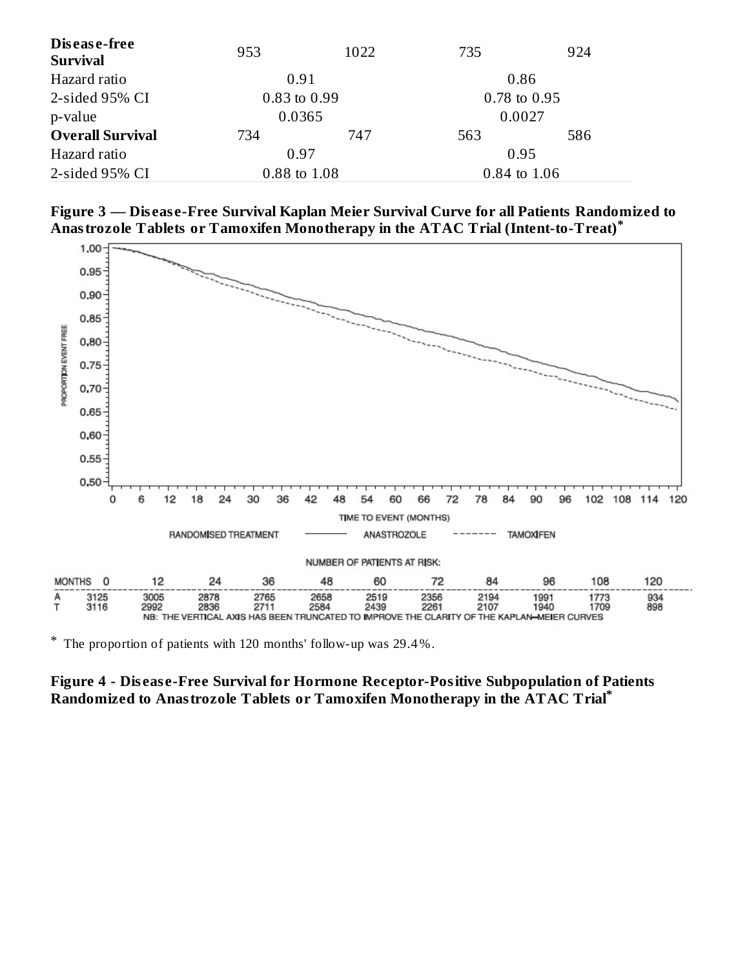| Disease-free<br><b>Survival</b> | 953 | 1022         | 735 | 924              |  |
|---------------------------------|-----|--------------|-----|------------------|--|
| Hazard ratio                    |     | 0.91<br>0.86 |     |                  |  |
| 2-sided 95% CI                  |     | 0.83 to 0.99 |     | $0.78$ to $0.95$ |  |
| p-value                         |     | 0.0365       |     | 0.0027           |  |
| <b>Overall Survival</b>         | 734 | 747          | 563 | 586              |  |
| Hazard ratio                    |     | 0.97         |     | 0.95             |  |
| 2-sided 95% CI                  |     | 0.88 to 1.08 |     | 0.84 to 1.06     |  |





\* The proportion of patients with 120 months' follow-up was 29.4 %.

#### **Figure 4 - Dis eas e-Free Survival for Hormone Receptor-Positive Subpopulation of Patients Randomized to Anastrozole Tablets or Tamoxifen Monotherapy in the ATAC Trial \***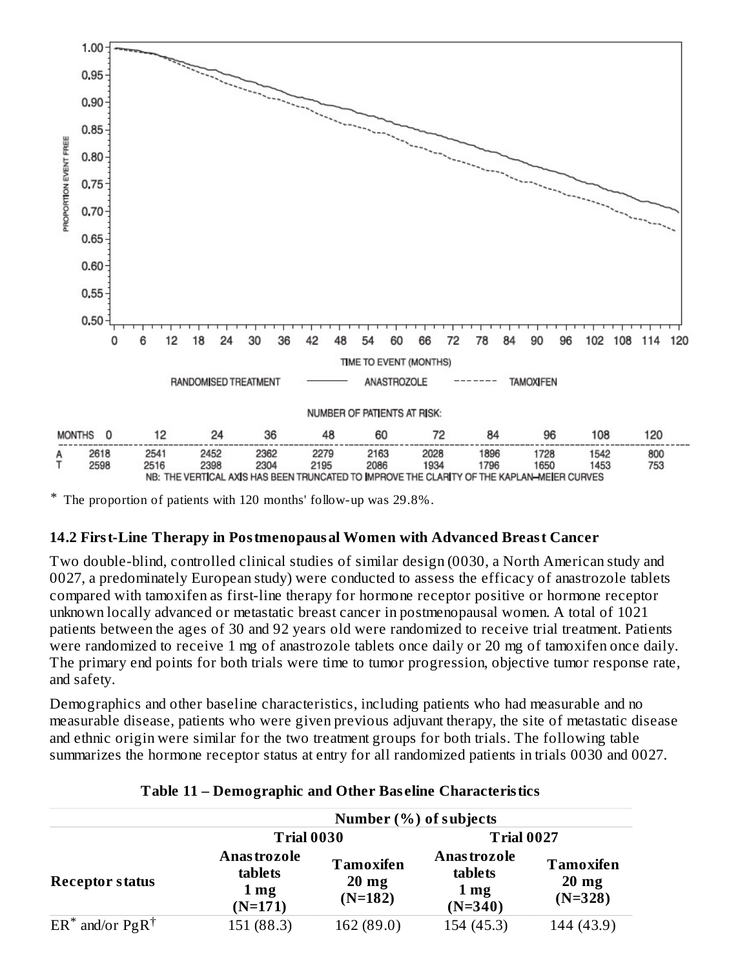

\* The proportion of patients with 120 months' follow-up was 29.8%.

#### **14.2 First-Line Therapy in Postmenopausal Women with Advanced Breast Cancer**

Two double-blind, controlled clinical studies of similar design (0030, a North American study and 0027, a predominately European study) were conducted to assess the efficacy of anastrozole tablets compared with tamoxifen as first-line therapy for hormone receptor positive or hormone receptor unknown locally advanced or metastatic breast cancer in postmenopausal women. A total of 1021 patients between the ages of 30 and 92 years old were randomized to receive trial treatment. Patients were randomized to receive 1 mg of anastrozole tablets once daily or 20 mg of tamoxifen once daily. The primary end points for both trials were time to tumor progression, objective tumor response rate, and safety.

Demographics and other baseline characteristics, including patients who had measurable and no measurable disease, patients who were given previous adjuvant therapy, the site of metastatic disease and ethnic origin were similar for the two treatment groups for both trials. The following table summarizes the hormone receptor status at entry for all randomized patients in trials 0030 and 0027.

|                               | Number (%) of subjects                                        |                                           |                                                               |                                           |
|-------------------------------|---------------------------------------------------------------|-------------------------------------------|---------------------------------------------------------------|-------------------------------------------|
|                               | <b>Trial 0030</b>                                             |                                           | <b>Trial 0027</b>                                             |                                           |
| <b>Receptor status</b>        | <b>Anastrozole</b><br>tablets<br>1 <sub>mg</sub><br>$(N=171)$ | Tamoxifen<br>$20 \text{ mg}$<br>$(N=182)$ | <b>Anastrozole</b><br>tablets<br>1 <sub>mg</sub><br>$(N=340)$ | Tamoxifen<br>$20 \text{ mg}$<br>$(N=328)$ |
| $ER^*$ and/or $PgR^{\dagger}$ | 151 (88.3)                                                    | 162 (89.0)                                | 154 (45.3)                                                    | 144 (43.9)                                |

#### **Table 11 – Demographic and Other Bas eline Characteristics**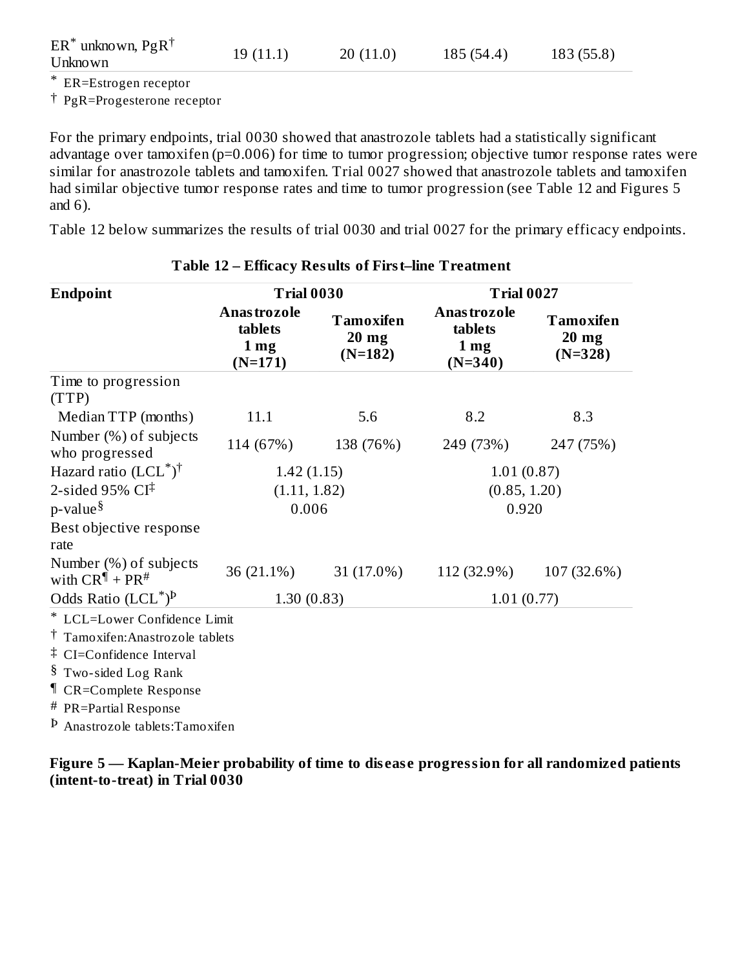| $ER^*$ unknown, Pg $R^{\dagger}$<br>Unknown | 19(11.1) | 20(11.0) | 185 (54.4) | 183(55.8) |
|---------------------------------------------|----------|----------|------------|-----------|
|                                             |          |          |            |           |

\* ER=Estrogen receptor

† PgR=Progesterone receptor

For the primary endpoints, trial 0030 showed that anastrozole tablets had a statistically significant advantage over tamoxifen (p=0.006) for time to tumor progression; objective tumor response rates were similar for anastrozole tablets and tamoxifen. Trial 0027 showed that anastrozole tablets and tamoxifen had similar objective tumor response rates and time to tumor progression (see Table 12 and Figures 5 and 6).

Table 12 below summarizes the results of trial 0030 and trial 0027 for the primary efficacy endpoints.

| <b>Endpoint</b>                                      | <b>Trial 0030</b>                                       |                                   | <b>Trial 0027</b>                                     |                                   |
|------------------------------------------------------|---------------------------------------------------------|-----------------------------------|-------------------------------------------------------|-----------------------------------|
|                                                      | Anas trozole<br>tablets<br>1 <sub>mg</sub><br>$(N=171)$ | Tamoxifen<br>$20$ mg<br>$(N=182)$ | Anastrozole<br>tablets<br>$1 \text{ mg}$<br>$(N=340)$ | Tamoxifen<br>$20$ mg<br>$(N=328)$ |
| Time to progression<br>(TTP)                         |                                                         |                                   |                                                       |                                   |
| Median TTP (months)                                  | 11.1                                                    | 5.6                               | 8.2                                                   | 8.3                               |
| Number (%) of subjects<br>who progressed             | 114 (67%)                                               | 138 (76%)                         | 249 (73%)                                             | 247 (75%)                         |
| Hazard ratio $(LCL^*)^{\dagger}$                     | 1.42(1.15)                                              |                                   | 1.01(0.87)                                            |                                   |
| 2-sided 95% $CI^{\ddagger}$                          | (1.11, 1.82)                                            |                                   | (0.85, 1.20)                                          |                                   |
| $p$ -value $\delta$                                  | 0.006                                                   |                                   | 0.920                                                 |                                   |
| Best objective response<br>rate                      |                                                         |                                   |                                                       |                                   |
| Number (%) of subjects<br>with $CR^{\P}$ + $PR^{\#}$ | 36 (21.1%)                                              | 31 (17.0%)                        | 112 (32.9%)                                           | 107 (32.6%)                       |
| Odds Ratio $(LCL^*)^p$                               | 1.30(0.83)                                              |                                   | 1.01(0.77)                                            |                                   |
| * LCL=Lower Confidence Limit                         |                                                         |                                   |                                                       |                                   |
| <sup>†</sup> Tamoxifen: Anastrozole tablets          |                                                         |                                   |                                                       |                                   |
| <sup>‡</sup> CI=Confidence Interval                  |                                                         |                                   |                                                       |                                   |
| § Two-sided Log Rank                                 |                                                         |                                   |                                                       |                                   |
| <sup>¶</sup> CR=Complete Response                    |                                                         |                                   |                                                       |                                   |
| # PR=Partial Response                                |                                                         |                                   |                                                       |                                   |
| <sup>b</sup> Anastrozole tablets: Tamoxifen          |                                                         |                                   |                                                       |                                   |

#### **Table 12 – Efficacy Results of First–line Treatment**

**Figure 5 — Kaplan-Meier probability of time to dis eas e progression for all randomized patients (intent-to-treat) in Trial 0030**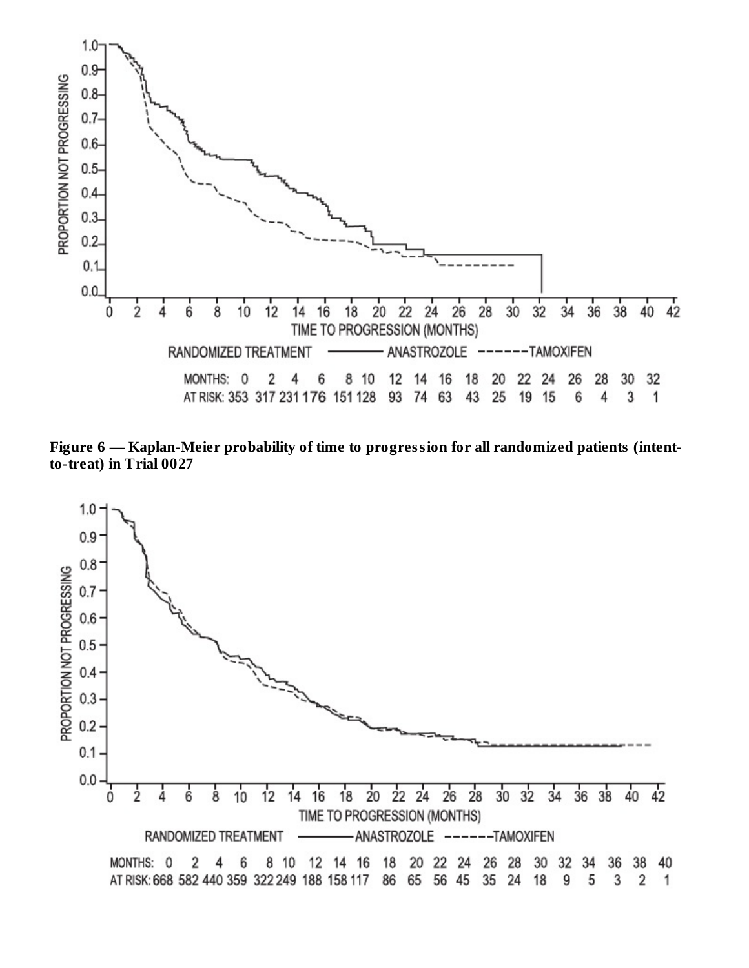

**Figure 6 — Kaplan-Meier probability of time to progression for all randomized patients (intentto-treat) in Trial 0027**

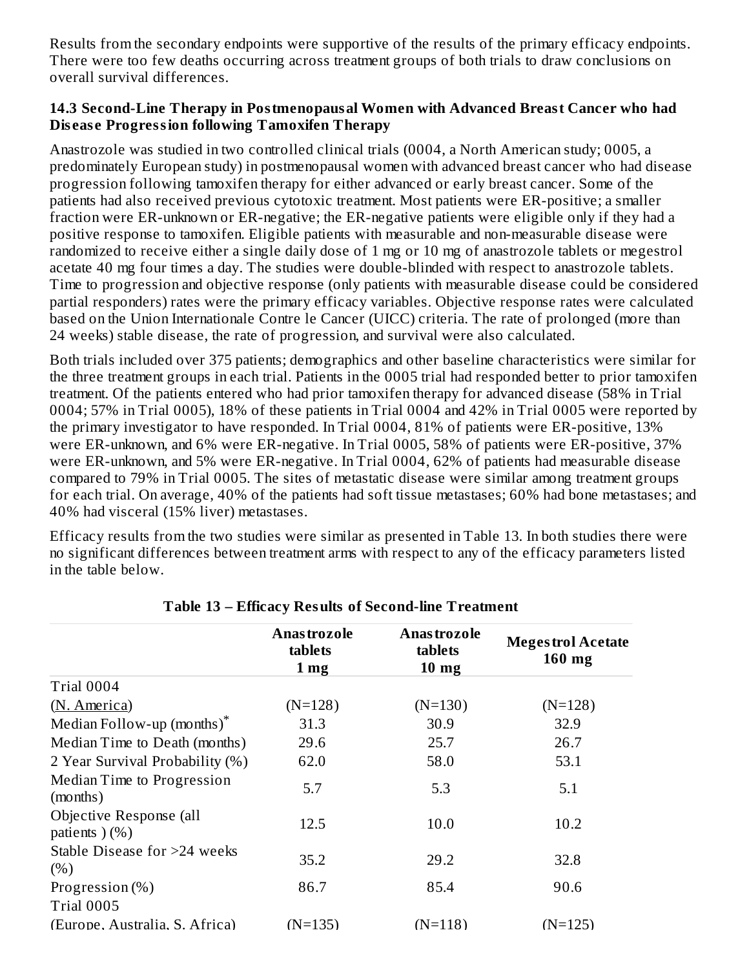Results from the secondary endpoints were supportive of the results of the primary efficacy endpoints. There were too few deaths occurring across treatment groups of both trials to draw conclusions on overall survival differences.

#### **14.3 Second-Line Therapy in Postmenopausal Women with Advanced Breast Cancer who had Dis eas e Progression following Tamoxifen Therapy**

Anastrozole was studied in two controlled clinical trials (0004, a North American study; 0005, a predominately European study) in postmenopausal women with advanced breast cancer who had disease progression following tamoxifen therapy for either advanced or early breast cancer. Some of the patients had also received previous cytotoxic treatment. Most patients were ER-positive; a smaller fraction were ER-unknown or ER-negative; the ER-negative patients were eligible only if they had a positive response to tamoxifen. Eligible patients with measurable and non-measurable disease were randomized to receive either a single daily dose of 1 mg or 10 mg of anastrozole tablets or megestrol acetate 40 mg four times a day. The studies were double-blinded with respect to anastrozole tablets. Time to progression and objective response (only patients with measurable disease could be considered partial responders) rates were the primary efficacy variables. Objective response rates were calculated based on the Union Internationale Contre le Cancer (UICC) criteria. The rate of prolonged (more than 24 weeks) stable disease, the rate of progression, and survival were also calculated.

Both trials included over 375 patients; demographics and other baseline characteristics were similar for the three treatment groups in each trial. Patients in the 0005 trial had responded better to prior tamoxifen treatment. Of the patients entered who had prior tamoxifen therapy for advanced disease (58% in Trial 0004; 57% in Trial 0005), 18% of these patients in Trial 0004 and 42% in Trial 0005 were reported by the primary investigator to have responded. In Trial 0004, 81% of patients were ER-positive, 13% were ER-unknown, and 6% were ER-negative. In Trial 0005, 58% of patients were ER-positive, 37% were ER-unknown, and 5% were ER-negative. In Trial 0004, 62% of patients had measurable disease compared to 79% in Trial 0005. The sites of metastatic disease were similar among treatment groups for each trial. On average, 40% of the patients had soft tissue metastases; 60% had bone metastases; and 40% had visceral (15% liver) metastases.

Efficacy results from the two studies were similar as presented in Table 13. In both studies there were no significant differences between treatment arms with respect to any of the efficacy parameters listed in the table below.

|                                           | Anas trozole<br>tablets<br>1 <sub>mg</sub> | Anas tro zo le<br>tablets<br>10 <sub>mg</sub> | <b>Megestrol Acetate</b><br>$160$ mg |
|-------------------------------------------|--------------------------------------------|-----------------------------------------------|--------------------------------------|
| Trial 0004                                |                                            |                                               |                                      |
| (N. America)                              | $(N=128)$                                  | $(N=130)$                                     | $(N=128)$                            |
| Median Follow-up (months)*                | 31.3                                       | 30.9                                          | 32.9                                 |
| Median Time to Death (months)             | 29.6                                       | 25.7                                          | 26.7                                 |
| 2 Year Survival Probability (%)           | 62.0                                       | 58.0                                          | 53.1                                 |
| Median Time to Progression<br>(months)    | 5.7                                        | 5.3                                           | 5.1                                  |
| Objective Response (all<br>patients $(%)$ | 12.5                                       | 10.0                                          | 10.2                                 |
| Stable Disease for >24 weeks<br>(% )      | 35.2                                       | 29.2                                          | 32.8                                 |
| Progression $(\%)$                        | 86.7                                       | 85.4                                          | 90.6                                 |
| Trial 0005                                |                                            |                                               |                                      |
| (Europe, Australia, S. Africa)            | $(N=135)$                                  | $(N=118)$                                     | $(N=125)$                            |

#### **Table 13 – Efficacy Results of Second-line Treatment**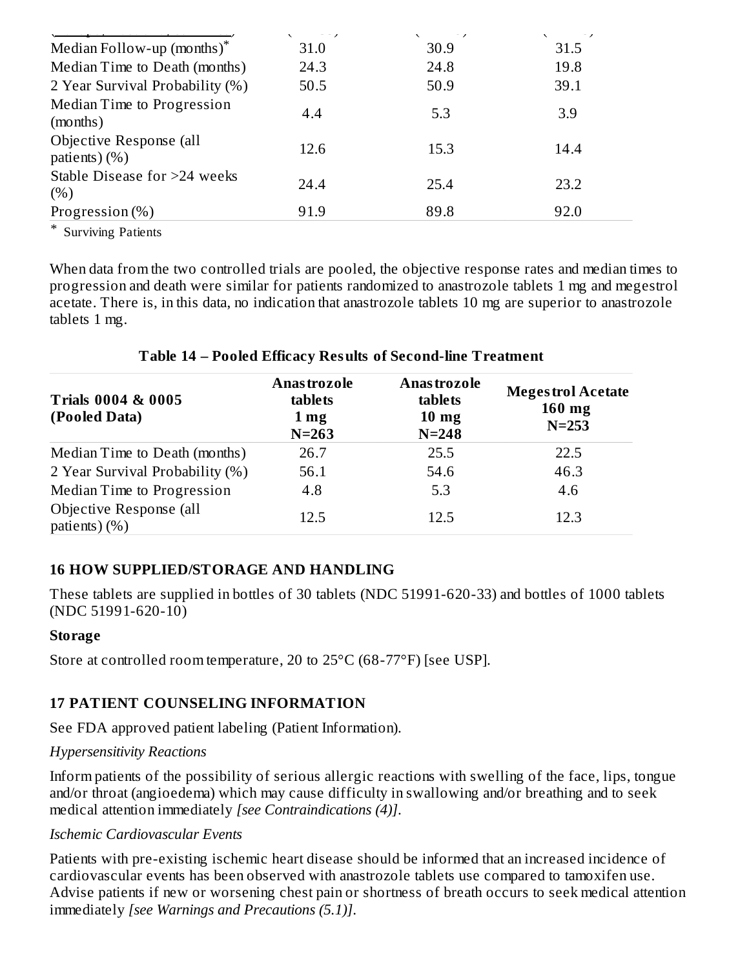|                                          | $---$ | $1 - 1 - 1$ |      |
|------------------------------------------|-------|-------------|------|
| Median Follow-up (months) <sup>*</sup>   | 31.0  | 30.9        | 31.5 |
| Median Time to Death (months)            | 24.3  | 24.8        | 19.8 |
| 2 Year Survival Probability (%)          | 50.5  | 50.9        | 39.1 |
| Median Time to Progression<br>(months)   | 4.4   | 5.3         | 3.9  |
| Objective Response (all<br>patients) (%) | 12.6  | 15.3        | 14.4 |
| Stable Disease for >24 weeks<br>(%)      | 24.4  | 25.4        | 23.2 |
| Progression (%)                          | 91.9  | 89.8        | 92.0 |

\* Surviving Patients

When data from the two controlled trials are pooled, the objective response rates and median times to progression and death were similar for patients randomized to anastrozole tablets 1 mg and megestrol acetate. There is, in this data, no indication that anastrozole tablets 10 mg are superior to anastrozole tablets 1 mg.

#### **Table 14 – Pooled Efficacy Results of Second-line Treatment**

| <b>Trials 0004 &amp; 0005</b><br>(Pooled Data) | Anas trozole<br>tablets<br>1 <sub>mg</sub><br>$N = 263$ | Anas trozole<br>tablets<br>$10 \text{ mg}$<br>$N = 248$ | <b>Megestrol Acetate</b><br>$160$ mg<br>$N = 253$ |
|------------------------------------------------|---------------------------------------------------------|---------------------------------------------------------|---------------------------------------------------|
| Median Time to Death (months)                  | 26.7                                                    | 25.5                                                    | 22.5                                              |
| 2 Year Survival Probability (%)                | 56.1                                                    | 54.6                                                    | 46.3                                              |
| Median Time to Progression                     | 4.8                                                     | 5.3                                                     | 4.6                                               |
| Objective Response (all<br>patients) $(\%)$    | 12.5                                                    | 12.5                                                    | 12.3                                              |

## **16 HOW SUPPLIED/STORAGE AND HANDLING**

These tablets are supplied in bottles of 30 tablets (NDC 51991-620-33) and bottles of 1000 tablets (NDC 51991-620-10)

#### **Storage**

Store at controlled room temperature, 20 to 25°C (68-77°F) [see USP].

## **17 PATIENT COUNSELING INFORMATION**

See FDA approved patient labeling (Patient Information).

#### *Hypersensitivity Reactions*

Inform patients of the possibility of serious allergic reactions with swelling of the face, lips, tongue and/or throat (angioedema) which may cause difficulty in swallowing and/or breathing and to seek medical attention immediately *[see Contraindications (4)]*.

#### *Ischemic Cardiovascular Events*

Patients with pre-existing ischemic heart disease should be informed that an increased incidence of cardiovascular events has been observed with anastrozole tablets use compared to tamoxifen use. Advise patients if new or worsening chest pain or shortness of breath occurs to seek medical attention immediately *[see Warnings and Precautions (5.1)]*.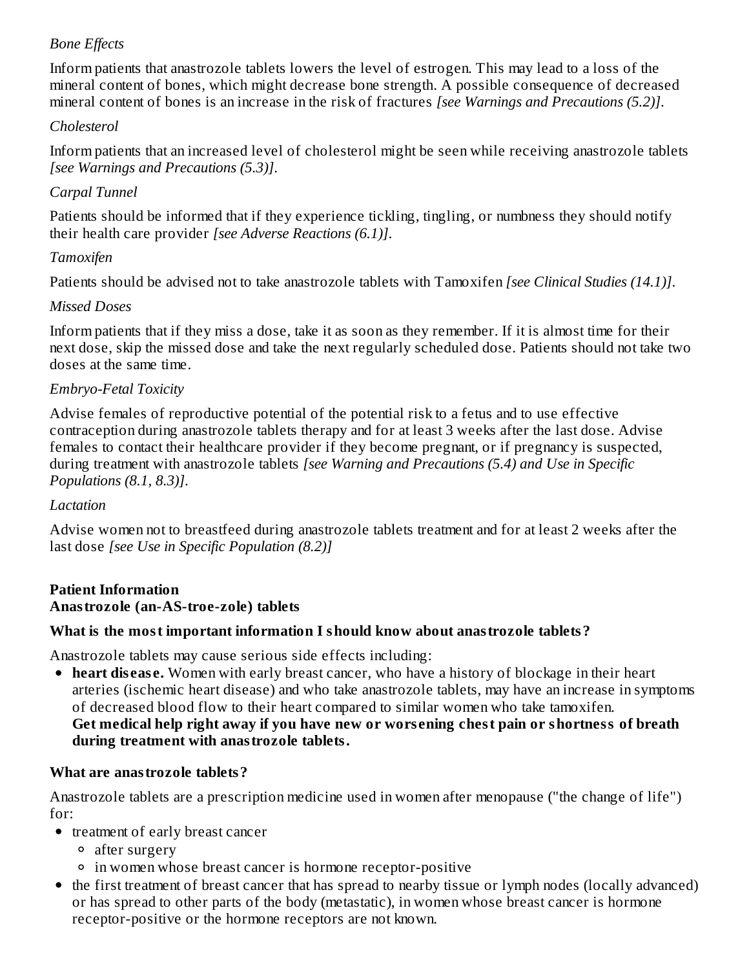# *Bone Effects*

Inform patients that anastrozole tablets lowers the level of estrogen. This may lead to a loss of the mineral content of bones, which might decrease bone strength. A possible consequence of decreased mineral content of bones is an increase in the risk of fractures *[see Warnings and Precautions (5.2)]*.

#### *Cholesterol*

Inform patients that an increased level of cholesterol might be seen while receiving anastrozole tablets *[see Warnings and Precautions (5.3)]*.

## *Carpal Tunnel*

Patients should be informed that if they experience tickling, tingling, or numbness they should notify their health care provider *[see Adverse Reactions (6.1)]*.

## *Tamoxifen*

Patients should be advised not to take anastrozole tablets with Tamoxifen *[see Clinical Studies (14.1)]*.

## *Missed Doses*

Inform patients that if they miss a dose, take it as soon as they remember. If it is almost time for their next dose, skip the missed dose and take the next regularly scheduled dose. Patients should not take two doses at the same time.

## *Embryo-Fetal Toxicity*

Advise females of reproductive potential of the potential risk to a fetus and to use effective contraception during anastrozole tablets therapy and for at least 3 weeks after the last dose. Advise females to contact their healthcare provider if they become pregnant, or if pregnancy is suspected, during treatment with anastrozole tablets *[see Warning and Precautions (5.4) and Use in Specific Populations (8.1, 8.3)]*.

#### *Lactation*

Advise women not to breastfeed during anastrozole tablets treatment and for at least 2 weeks after the last dose *[see Use in Specific Population (8.2)]*

#### **Patient Information Anastrozole (an-AS-troe-zole) tablets**

## **What is the most important information I should know about anastrozole tablets?**

Anastrozole tablets may cause serious side effects including:

**heart dis eas e.** Women with early breast cancer, who have a history of blockage in their heart arteries (ischemic heart disease) and who take anastrozole tablets, may have an increase in symptoms of decreased blood flow to their heart compared to similar women who take tamoxifen. **Get medical help right away if you have new or wors ening chest pain or shortness of breath during treatment with anastrozole tablets.**

## **What are anastrozole tablets?**

Anastrozole tablets are a prescription medicine used in women after menopause ("the change of life") for:

- treatment of early breast cancer
	- after surgery
	- in women whose breast cancer is hormone receptor-positive
- the first treatment of breast cancer that has spread to nearby tissue or lymph nodes (locally advanced) or has spread to other parts of the body (metastatic), in women whose breast cancer is hormone receptor-positive or the hormone receptors are not known.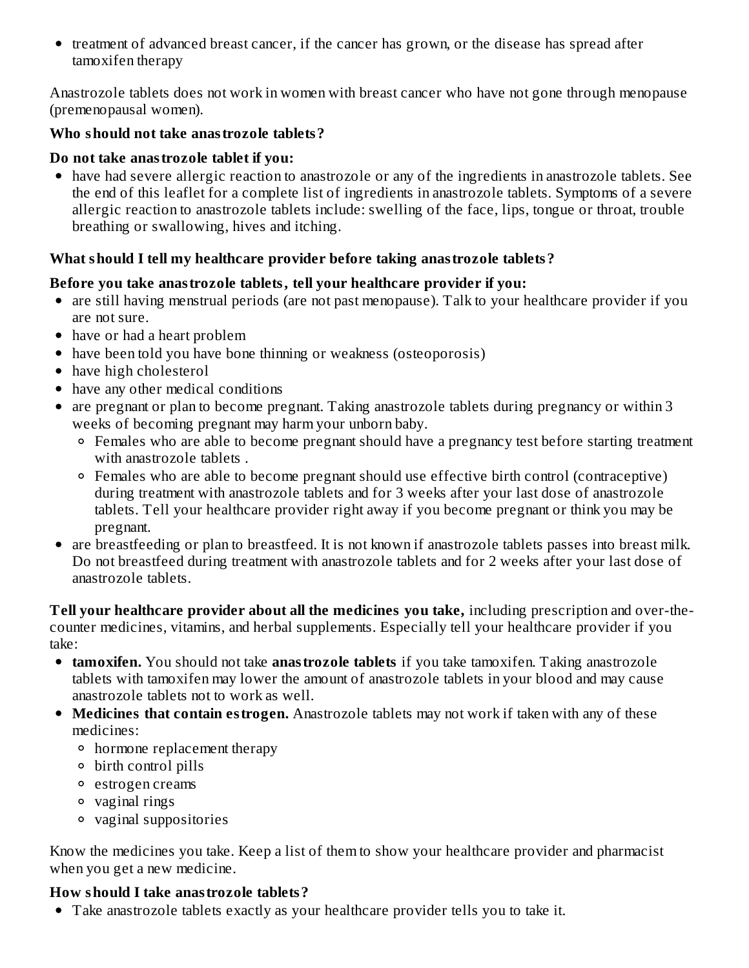• treatment of advanced breast cancer, if the cancer has grown, or the disease has spread after tamoxifen therapy

Anastrozole tablets does not work in women with breast cancer who have not gone through menopause (premenopausal women).

#### **Who should not take anastrozole tablets?**

#### **Do not take anastrozole tablet if you:**

have had severe allergic reaction to anastrozole or any of the ingredients in anastrozole tablets. See the end of this leaflet for a complete list of ingredients in anastrozole tablets. Symptoms of a severe allergic reaction to anastrozole tablets include: swelling of the face, lips, tongue or throat, trouble breathing or swallowing, hives and itching.

## **What should I tell my healthcare provider before taking anastrozole tablets?**

#### **Before you take anastrozole tablets, tell your healthcare provider if you:**

- are still having menstrual periods (are not past menopause). Talk to your healthcare provider if you are not sure.
- have or had a heart problem
- have been told you have bone thinning or weakness (osteoporosis)
- have high cholesterol
- have any other medical conditions
- are pregnant or plan to become pregnant. Taking anastrozole tablets during pregnancy or within 3 weeks of becoming pregnant may harm your unborn baby.
	- Females who are able to become pregnant should have a pregnancy test before starting treatment with anastrozole tablets .
	- Females who are able to become pregnant should use effective birth control (contraceptive) during treatment with anastrozole tablets and for 3 weeks after your last dose of anastrozole tablets. Tell your healthcare provider right away if you become pregnant or think you may be pregnant.
- are breastfeeding or plan to breastfeed. It is not known if anastrozole tablets passes into breast milk. Do not breastfeed during treatment with anastrozole tablets and for 2 weeks after your last dose of anastrozole tablets.

**Tell your healthcare provider about all the medicines you take,** including prescription and over-thecounter medicines, vitamins, and herbal supplements. Especially tell your healthcare provider if you take:

- **tamoxifen.** You should not take **anastrozole tablets** if you take tamoxifen. Taking anastrozole tablets with tamoxifen may lower the amount of anastrozole tablets in your blood and may cause anastrozole tablets not to work as well.
- **Medicines that contain estrogen.** Anastrozole tablets may not work if taken with any of these medicines:
	- hormone replacement therapy
	- birth control pills
	- estrogen creams
	- vaginal rings
	- vaginal suppositories

Know the medicines you take. Keep a list of them to show your healthcare provider and pharmacist when you get a new medicine.

## **How should I take anastrozole tablets?**

Take anastrozole tablets exactly as your healthcare provider tells you to take it.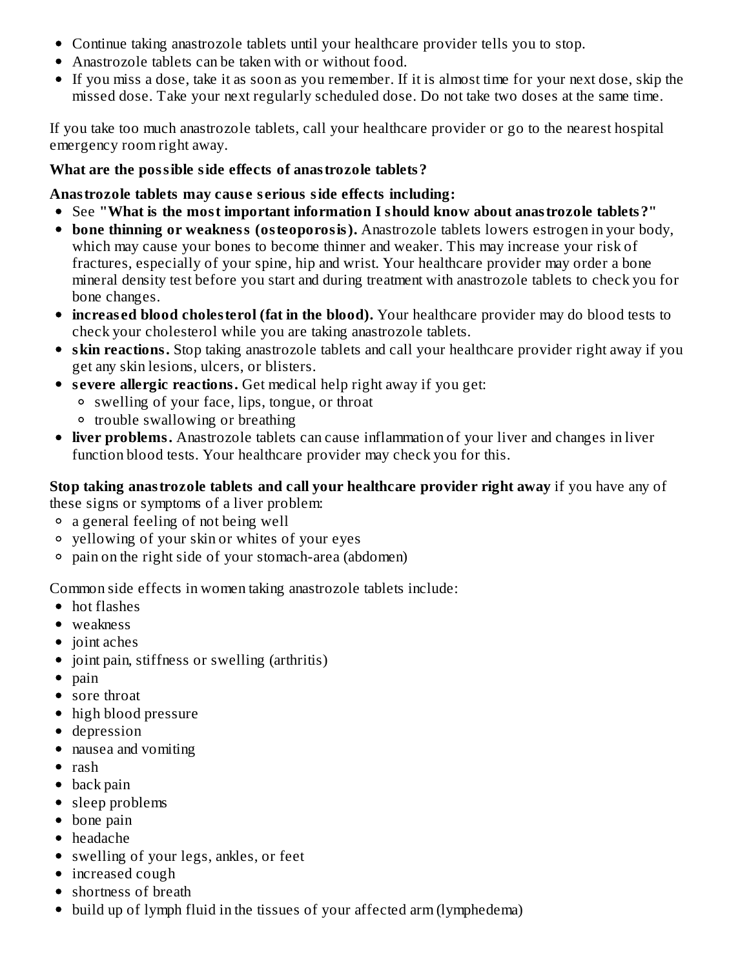- Continue taking anastrozole tablets until your healthcare provider tells you to stop.
- Anastrozole tablets can be taken with or without food.
- If you miss a dose, take it as soon as you remember. If it is almost time for your next dose, skip the missed dose. Take your next regularly scheduled dose. Do not take two doses at the same time.

If you take too much anastrozole tablets, call your healthcare provider or go to the nearest hospital emergency room right away.

#### **What are the possible side effects of anastrozole tablets?**

#### **Anastrozole tablets may caus e s erious side effects including:**

- See **"What is the most important information I should know about anastrozole tablets?"**
- **bone thinning or weakness (osteoporosis).** Anastrozole tablets lowers estrogen in your body, which may cause your bones to become thinner and weaker. This may increase your risk of fractures, especially of your spine, hip and wrist. Your healthcare provider may order a bone mineral density test before you start and during treatment with anastrozole tablets to check you for bone changes.
- **increas ed blood cholesterol (fat in the blood).** Your healthcare provider may do blood tests to check your cholesterol while you are taking anastrozole tablets.
- **skin reactions.** Stop taking anastrozole tablets and call your healthcare provider right away if you get any skin lesions, ulcers, or blisters.
- **s evere allergic reactions.** Get medical help right away if you get:
	- swelling of your face, lips, tongue, or throat
	- trouble swallowing or breathing
- **liver problems.** Anastrozole tablets can cause inflammation of your liver and changes in liver function blood tests. Your healthcare provider may check you for this.

# **Stop taking anastrozole tablets and call your healthcare provider right away** if you have any of

these signs or symptoms of a liver problem:

- a general feeling of not being well
- yellowing of your skin or whites of your eyes
- pain on the right side of your stomach-area (abdomen)

Common side effects in women taking anastrozole tablets include:

- hot flashes
- weakness
- joint aches
- joint pain, stiffness or swelling (arthritis)
- $\bullet$  pain
- sore throat
- high blood pressure
- depression
- nausea and vomiting
- rash
- back pain
- sleep problems
- bone pain
- headache
- swelling of your legs, ankles, or feet
- increased cough
- shortness of breath
- build up of lymph fluid in the tissues of your affected arm (lymphedema)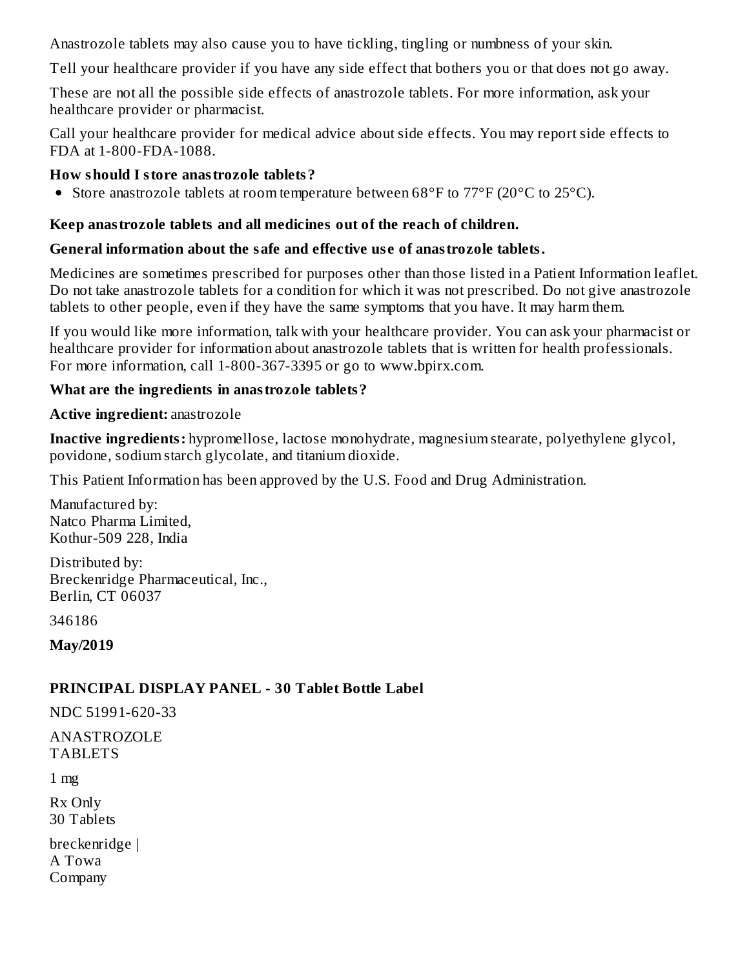Anastrozole tablets may also cause you to have tickling, tingling or numbness of your skin.

Tell your healthcare provider if you have any side effect that bothers you or that does not go away.

These are not all the possible side effects of anastrozole tablets. For more information, ask your healthcare provider or pharmacist.

Call your healthcare provider for medical advice about side effects. You may report side effects to FDA at 1-800-FDA-1088.

#### **How should I store anastrozole tablets?**

• Store anastrozole tablets at room temperature between  $68^{\circ}$ F to  $77^{\circ}$ F (20 $^{\circ}$ C to 25 $^{\circ}$ C).

## **Keep anastrozole tablets and all medicines out of the reach of children.**

## **General information about the safe and effective us e of anastrozole tablets.**

Medicines are sometimes prescribed for purposes other than those listed in a Patient Information leaflet. Do not take anastrozole tablets for a condition for which it was not prescribed. Do not give anastrozole tablets to other people, even if they have the same symptoms that you have. It may harm them.

If you would like more information, talk with your healthcare provider. You can ask your pharmacist or healthcare provider for information about anastrozole tablets that is written for health professionals. For more information, call 1-800-367-3395 or go to www.bpirx.com.

#### **What are the ingredients in anastrozole tablets?**

#### **Active ingredient:** anastrozole

**Inactive ingredients:** hypromellose, lactose monohydrate, magnesium stearate, polyethylene glycol, povidone, sodium starch glycolate, and titanium dioxide.

This Patient Information has been approved by the U.S. Food and Drug Administration.

Manufactured by: Natco Pharma Limited, Kothur-509 228, India

Distributed by: Breckenridge Pharmaceutical, Inc., Berlin, CT 06037

346186

**May/2019**

# **PRINCIPAL DISPLAY PANEL - 30 Tablet Bottle Label**

NDC 51991-620-33

ANASTROZOLE TABLETS

1 mg

Rx Only 30 Tablets

breckenridge | A Towa Company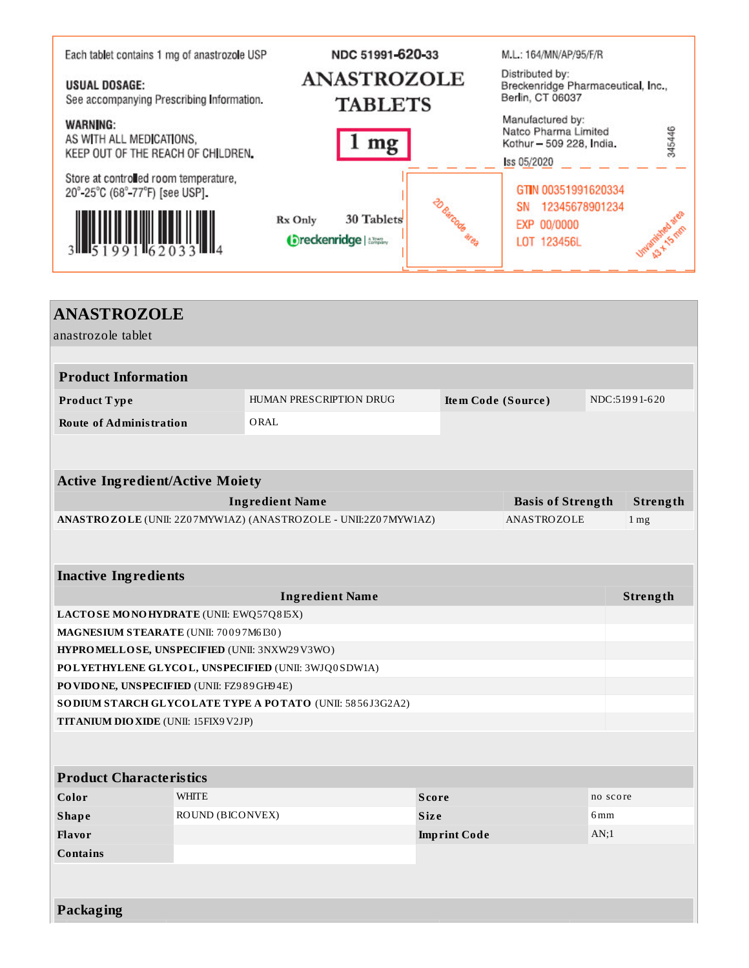| Each tablet contains 1 mg of anastrozole USP                                      | NDC 51991-620-33                                                    | M.L.: 164/MN/AP/95/F/R                                                                       |  |  |
|-----------------------------------------------------------------------------------|---------------------------------------------------------------------|----------------------------------------------------------------------------------------------|--|--|
| <b>USUAL DOSAGE:</b><br>See accompanying Prescribing Information.                 | <b>ANASTROZOLE</b><br><b>TABLETS</b>                                | Distributed by:<br>Breckenridge Pharmaceutical, Inc.,<br>Berlin, CT 06037                    |  |  |
| <b>WARNING:</b><br>AS WITH ALL MEDICATIONS,<br>KEEP OUT OF THE REACH OF CHILDREN. | mg                                                                  | Manufactured by:<br>345446<br>Natco Pharma Limited<br>Kothur - 509 228, India.<br>ss 05/2020 |  |  |
| Store at controlled room temperature,<br>20°-25°C (68°-77°F) [see USP].           |                                                                     | GTIN 00351991620334                                                                          |  |  |
|                                                                                   | 20 Barcode<br>30 Tablets<br>Rx Only<br><b>Oreckenridge</b>   alleny | 12345678901234<br>SN<br><b>United News</b> Ones<br>EXP 00/0000<br>LOT 123456L                |  |  |
|                                                                                   |                                                                     |                                                                                              |  |  |

| <b>ANASTROZOLE</b>                           |                  |                                                                |              |                     |                          |               |                 |
|----------------------------------------------|------------------|----------------------------------------------------------------|--------------|---------------------|--------------------------|---------------|-----------------|
| anastrozole tablet                           |                  |                                                                |              |                     |                          |               |                 |
|                                              |                  |                                                                |              |                     |                          |               |                 |
| <b>Product Information</b>                   |                  |                                                                |              |                     |                          |               |                 |
| Product Type                                 |                  | HUMAN PRESCRIPTION DRUG<br>Item Code (Source)                  |              |                     |                          | NDC:51991-620 |                 |
| <b>Route of Administration</b>               |                  | ORAL                                                           |              |                     |                          |               |                 |
|                                              |                  |                                                                |              |                     |                          |               |                 |
|                                              |                  |                                                                |              |                     |                          |               |                 |
| <b>Active Ingredient/Active Moiety</b>       |                  |                                                                |              |                     |                          |               |                 |
|                                              |                  | <b>Ingredient Name</b>                                         |              |                     | <b>Basis of Strength</b> |               | Strength        |
|                                              |                  | ANASTROZOLE (UNII: 2Z07MYW1AZ) (ANASTROZOLE - UNII:2Z07MYW1AZ) |              |                     | ANASTROZOLE              |               | 1 <sub>mg</sub> |
|                                              |                  |                                                                |              |                     |                          |               |                 |
|                                              |                  |                                                                |              |                     |                          |               |                 |
| <b>Inactive Ingredients</b>                  |                  |                                                                |              |                     |                          |               |                 |
| <b>Ingredient Name</b>                       |                  |                                                                |              |                     |                          | Strength      |                 |
| LACTOSE MONOHYDRATE (UNII: EWQ57Q8I5X)       |                  |                                                                |              |                     |                          |               |                 |
| MAGNESIUM STEARATE (UNII: 70097M6I30)        |                  |                                                                |              |                     |                          |               |                 |
| HYPROMELLOSE, UNSPECIFIED (UNII: 3NXW29V3WO) |                  | POLYETHYLENE GLYCOL, UNSPECIFIED (UNII: 3WJQ0SDW1A)            |              |                     |                          |               |                 |
| PO VIDONE, UNSPECIFIED (UNII: FZ989GH94E)    |                  |                                                                |              |                     |                          |               |                 |
|                                              |                  | SO DIUM STARCH GLYCOLATE TYPE A POTATO (UNII: 5856J3G2A2)      |              |                     |                          |               |                 |
| TITANIUM DIO XIDE (UNII: 15FIX9V2JP)         |                  |                                                                |              |                     |                          |               |                 |
|                                              |                  |                                                                |              |                     |                          |               |                 |
|                                              |                  |                                                                |              |                     |                          |               |                 |
| <b>Product Characteristics</b>               |                  |                                                                |              |                     |                          |               |                 |
| Color                                        | <b>WHITE</b>     |                                                                | <b>Score</b> |                     |                          | no score      |                 |
| <b>Shape</b>                                 | ROUND (BICONVEX) |                                                                | <b>Size</b>  |                     |                          | 6mm           |                 |
| Flavor                                       |                  |                                                                |              | <b>Imprint Code</b> |                          | AN;1          |                 |
| <b>Contains</b>                              |                  |                                                                |              |                     |                          |               |                 |
|                                              |                  |                                                                |              |                     |                          |               |                 |
|                                              |                  |                                                                |              |                     |                          |               |                 |
| Packaging                                    |                  |                                                                |              |                     |                          |               |                 |